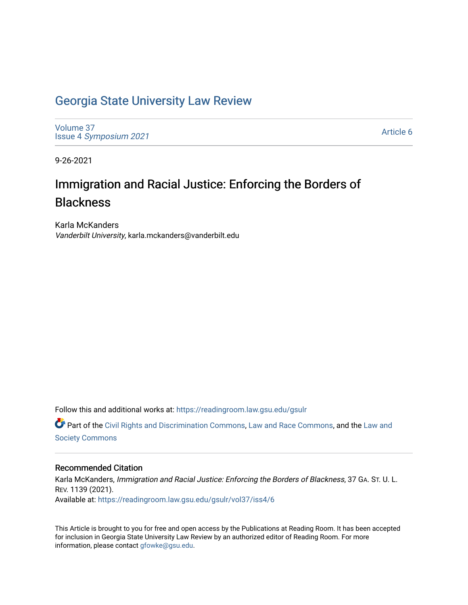# [Georgia State University Law Review](https://readingroom.law.gsu.edu/gsulr)

[Volume 37](https://readingroom.law.gsu.edu/gsulr/vol37) Issue 4 [Symposium 2021](https://readingroom.law.gsu.edu/gsulr/vol37/iss4)

[Article 6](https://readingroom.law.gsu.edu/gsulr/vol37/iss4/6) 

9-26-2021

# Immigration and Racial Justice: Enforcing the Borders of **Blackness**

Karla McKanders Vanderbilt University, karla.mckanders@vanderbilt.edu

Follow this and additional works at: [https://readingroom.law.gsu.edu/gsulr](https://readingroom.law.gsu.edu/gsulr?utm_source=readingroom.law.gsu.edu%2Fgsulr%2Fvol37%2Fiss4%2F6&utm_medium=PDF&utm_campaign=PDFCoverPages) 

Part of the [Civil Rights and Discrimination Commons,](http://network.bepress.com/hgg/discipline/585?utm_source=readingroom.law.gsu.edu%2Fgsulr%2Fvol37%2Fiss4%2F6&utm_medium=PDF&utm_campaign=PDFCoverPages) [Law and Race Commons,](http://network.bepress.com/hgg/discipline/1300?utm_source=readingroom.law.gsu.edu%2Fgsulr%2Fvol37%2Fiss4%2F6&utm_medium=PDF&utm_campaign=PDFCoverPages) and the [Law and](http://network.bepress.com/hgg/discipline/853?utm_source=readingroom.law.gsu.edu%2Fgsulr%2Fvol37%2Fiss4%2F6&utm_medium=PDF&utm_campaign=PDFCoverPages) [Society Commons](http://network.bepress.com/hgg/discipline/853?utm_source=readingroom.law.gsu.edu%2Fgsulr%2Fvol37%2Fiss4%2F6&utm_medium=PDF&utm_campaign=PDFCoverPages)

#### Recommended Citation

Karla McKanders, Immigration and Racial Justice: Enforcing the Borders of Blackness, 37 GA. ST. U. L. REV. 1139 (2021). Available at: [https://readingroom.law.gsu.edu/gsulr/vol37/iss4/6](https://readingroom.law.gsu.edu/gsulr/vol37/iss4/6?utm_source=readingroom.law.gsu.edu%2Fgsulr%2Fvol37%2Fiss4%2F6&utm_medium=PDF&utm_campaign=PDFCoverPages)

This Article is brought to you for free and open access by the Publications at Reading Room. It has been accepted for inclusion in Georgia State University Law Review by an authorized editor of Reading Room. For more information, please contact [gfowke@gsu.edu.](mailto:gfowke@gsu.edu)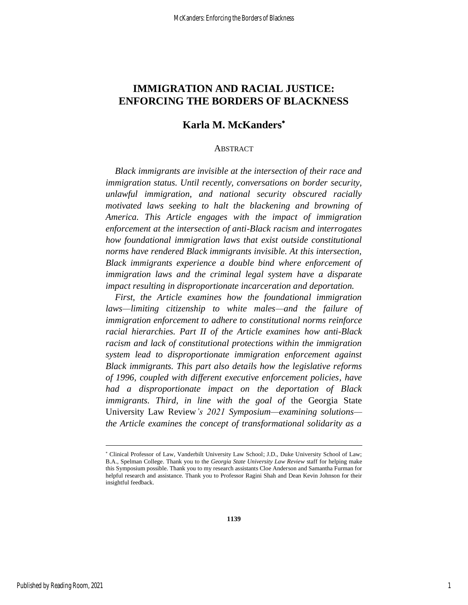## **IMMIGRATION AND RACIAL JUSTICE: ENFORCING THE BORDERS OF BLACKNESS**

## **Karla M. McKanders**

#### ABSTRACT

*Black immigrants are invisible at the intersection of their race and immigration status. Until recently, conversations on border security, unlawful immigration, and national security obscured racially motivated laws seeking to halt the blackening and browning of America. This Article engages with the impact of immigration enforcement at the intersection of anti-Black racism and interrogates how foundational immigration laws that exist outside constitutional norms have rendered Black immigrants invisible. At this intersection, Black immigrants experience a double bind where enforcement of immigration laws and the criminal legal system have a disparate impact resulting in disproportionate incarceration and deportation.* 

*First, the Article examines how the foundational immigration laws—limiting citizenship to white males—and the failure of immigration enforcement to adhere to constitutional norms reinforce racial hierarchies. Part II of the Article examines how anti-Black racism and lack of constitutional protections within the immigration system lead to disproportionate immigration enforcement against Black immigrants. This part also details how the legislative reforms of 1996, coupled with different executive enforcement policies, have had a disproportionate impact on the deportation of Black immigrants. Third, in line with the goal of* the Georgia State University Law Review*'s 2021 Symposium—examining solutions the Article examines the concept of transformational solidarity as a* 

Clinical Professor of Law, Vanderbilt University Law School; J.D., Duke University School of Law; B.A., Spelman College. Thank you to the *Georgia State University Law Review* staff for helping make this Symposium possible. Thank you to my research assistants Cloe Anderson and Samantha Furman for helpful research and assistance. Thank you to Professor Ragini Shah and Dean Kevin Johnson for their insightful feedback.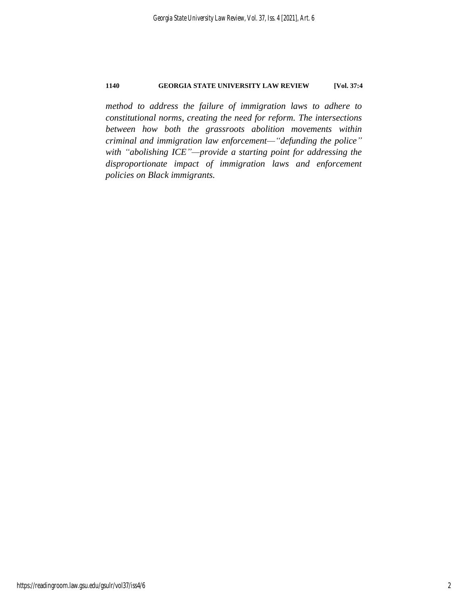*method to address the failure of immigration laws to adhere to constitutional norms, creating the need for reform. The intersections between how both the grassroots abolition movements within criminal and immigration law enforcement—"defunding the police" with "abolishing ICE"—provide a starting point for addressing the disproportionate impact of immigration laws and enforcement policies on Black immigrants.*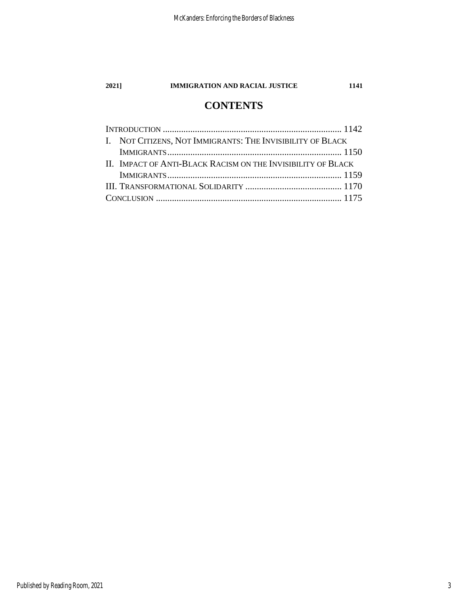# **CONTENTS**

| I. NOT CITIZENS, NOT IMMIGRANTS: THE INVISIBILITY OF BLACK   |  |
|--------------------------------------------------------------|--|
|                                                              |  |
| II. IMPACT OF ANTI-BLACK RACISM ON THE INVISIBILITY OF BLACK |  |
|                                                              |  |
|                                                              |  |
|                                                              |  |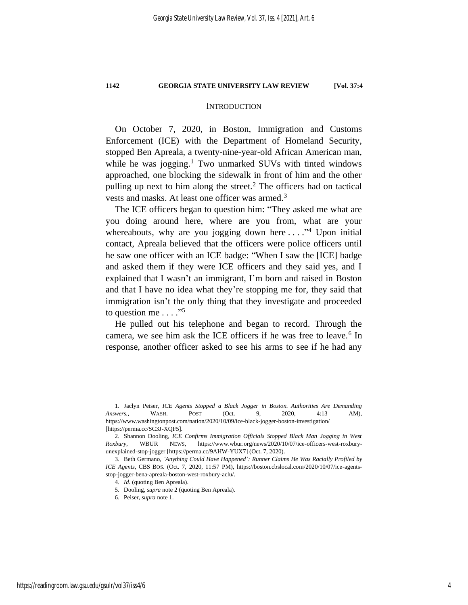#### <span id="page-4-2"></span><span id="page-4-1"></span>**INTRODUCTION**

<span id="page-4-0"></span>On October 7, 2020, in Boston, Immigration and Customs Enforcement (ICE) with the Department of Homeland Security, stopped Ben Apreala, a twenty-nine-year-old African American man, while he was jogging.<sup>1</sup> Two unmarked SUVs with tinted windows approached, one blocking the sidewalk in front of him and the other pulling up next to him along the street.<sup>2</sup> The officers had on tactical vests and masks. At least one officer was armed.<sup>3</sup>

The ICE officers began to question him: "They asked me what are you doing around here, where are you from, what are your whereabouts, why are you jogging down here  $\dots$ ."<sup>4</sup> Upon initial contact, Apreala believed that the officers were police officers until he saw one officer with an ICE badge: "When I saw the [ICE] badge and asked them if they were ICE officers and they said yes, and I explained that I wasn't an immigrant, I'm born and raised in Boston and that I have no idea what they're stopping me for, they said that immigration isn't the only thing that they investigate and proceeded to question me  $\dots$ ."

He pulled out his telephone and began to record. Through the camera, we see him ask the ICE officers if he was free to leave.<sup>6</sup> In response, another officer asked to see his arms to see if he had any

<sup>1.</sup> Jaclyn Peiser, *ICE Agents Stopped a Black Jogger in Boston. Authorities Are Demanding Answers.*, WASH. POST (Oct. 9, 2020, 4:13 AM), https://www.washingtonpost.com/nation/2020/10/09/ice-black-jogger-boston-investigation/ [https://perma.cc/SC3J-XQF5].

<sup>2.</sup> Shannon Dooling, *ICE Confirms Immigration Officials Stopped Black Man Jogging in West Roxbury*, WBUR NEWS, https://www.wbur.org/news/2020/10/07/ice-officers-west-roxburyunexplained-stop-jogger [https://perma.cc/9AHW-YUX7] (Oct. 7, 2020).

<sup>3.</sup> Beth Germano, *'Anything Could Have Happened': Runner Claims He Was Racially Profiled by ICE Agents*, CBS BOS. (Oct. 7, 2020, 11:57 PM), https://boston.cbslocal.com/2020/10/07/ice-agentsstop-jogger-bena-apreala-boston-west-roxbury-aclu/.

<sup>4.</sup> *Id.* (quoting Ben Apreala).

<sup>5.</sup> Dooling, *supra* not[e 2](#page-4-1) (quoting Ben Apreala).

<sup>6.</sup> Peiser, *supra* not[e 1.](#page-4-2)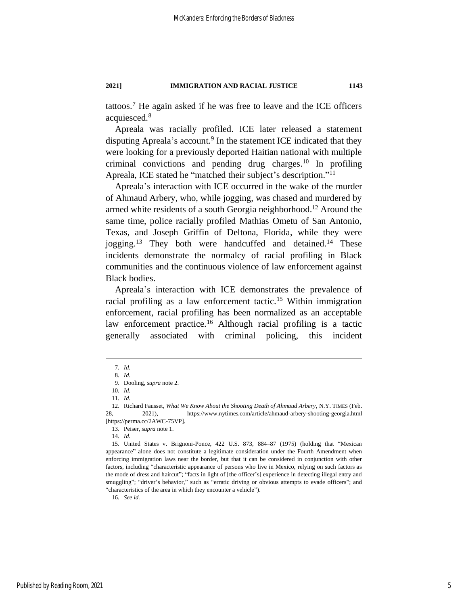tattoos. <sup>7</sup> He again asked if he was free to leave and the ICE officers acquiesced. 8

Apreala was racially profiled. ICE later released a statement disputing Apreala's account.<sup>9</sup> In the statement ICE indicated that they were looking for a previously deported Haitian national with multiple criminal convictions and pending drug charges.<sup>10</sup> In profiling Apreala, ICE stated he "matched their subject's description." 11

Apreala's interaction with ICE occurred in the wake of the murder of Ahmaud Arbery, who, while jogging, was chased and murdered by armed white residents of a south Georgia neighborhood. <sup>12</sup> Around the same time, police racially profiled Mathias Ometu of San Antonio, Texas, and Joseph Griffin of Deltona, Florida, while they were jogging.<sup>13</sup> They both were handcuffed and detained.<sup>14</sup> These incidents demonstrate the normalcy of racial profiling in Black communities and the continuous violence of law enforcement against Black bodies.

Apreala's interaction with ICE demonstrates the prevalence of racial profiling as a law enforcement tactic.<sup>15</sup> Within immigration enforcement, racial profiling has been normalized as an acceptable law enforcement practice.<sup>16</sup> Although racial profiling is a tactic generally associated with criminal policing, this incident

16*. See id.*

<sup>7</sup>*. Id.*

<sup>8</sup>*. Id.*

<sup>9.</sup> Dooling, *supra* not[e 2.](#page-4-1)

<sup>10</sup>*. Id.*

<sup>11</sup>*. Id.*

<sup>12.</sup> Richard Fausset, *What We Know About the Shooting Death of Ahmaud Arbery*, N.Y. TIMES (Feb. 28, 2021), https://www.nytimes.com/article/ahmaud-arbery-shooting-georgia.html [https://perma.cc/2AWC-75VP].

<sup>13.</sup> Peiser, *supra* not[e 1.](#page-4-2)

<sup>14</sup>*. Id.*

<sup>15.</sup> United States v. Brignoni-Ponce, 422 U.S. 873, 884–87 (1975) (holding that "Mexican appearance" alone does not constitute a legitimate consideration under the Fourth Amendment when enforcing immigration laws near the border, but that it can be considered in conjunction with other factors, including "characteristic appearance of persons who live in Mexico, relying on such factors as the mode of dress and haircut"; "facts in light of [the officer's] experience in detecting illegal entry and smuggling"; "driver's behavior," such as "erratic driving or obvious attempts to evade officers"; and "characteristics of the area in which they encounter a vehicle").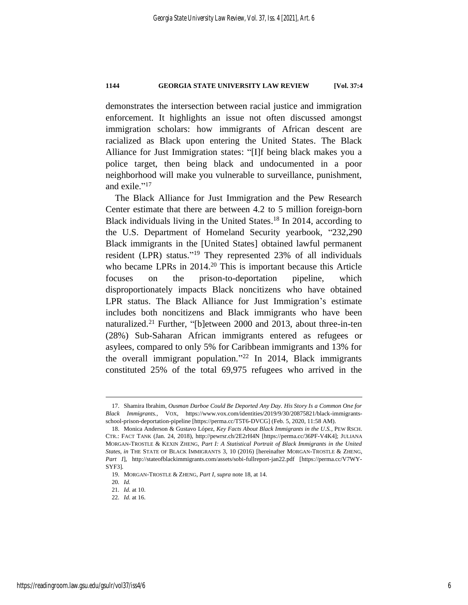demonstrates the intersection between racial justice and immigration enforcement. It highlights an issue not often discussed amongst immigration scholars: how immigrants of African descent are racialized as Black upon entering the United States. The Black Alliance for Just Immigration states: "[I]f being black makes you a police target, then being black and undocumented in a poor neighborhood will make you vulnerable to surveillance, punishment, and exile."<sup>17</sup>

<span id="page-6-1"></span><span id="page-6-0"></span>The Black Alliance for Just Immigration and the Pew Research Center estimate that there are between 4.2 to 5 million foreign-born Black individuals living in the United States. <sup>18</sup> In 2014, according to the U.S. Department of Homeland Security yearbook, "232,290 Black immigrants in the [United States] obtained lawful permanent resident (LPR) status."<sup>19</sup> They represented 23% of all individuals who became LPRs in 2014.<sup>20</sup> This is important because this Article focuses on the prison-to-deportation pipeline, which disproportionately impacts Black noncitizens who have obtained LPR status. The Black Alliance for Just Immigration's estimate includes both noncitizens and Black immigrants who have been naturalized.<sup>21</sup> Further, "[b]etween 2000 and 2013, about three-in-ten (28%) Sub-Saharan African immigrants entered as refugees or asylees, compared to only 5% for Caribbean immigrants and 13% for the overall immigrant population." <sup>22</sup> In 2014, Black immigrants constituted 25% of the total 69,975 refugees who arrived in the

<sup>17.</sup> Shamira Ibrahim, *Ousman Darboe Could Be Deported Any Day. His Story Is a Common One for Black Immigrants.*, VOX, https://www.vox.com/identities/2019/9/30/20875821/black-immigrantsschool-prison-deportation-pipeline [https://perma.cc/T5T6-DVCG] (Feb. 5, 2020, 11:58 AM).

<sup>18.</sup> Monica Anderson & Gustavo López, *Key Facts About Black Immigrants in the U.S.*, PEW RSCH. CTR.: FACT TANK (Jan. 24, 2018), http://pewrsr.ch/2E2rH4N [https://perma.cc/36PF-V4K4]; JULIANA MORGAN-TROSTLE & KEXIN ZHENG, *Part I: A Statistical Portrait of Black Immigrants in the United States*, *in* THE STATE OF BLACK IMMIGRANTS 3, 10 (2016) [hereinafter MORGAN-TROSTLE & ZHENG, *Part I*], http://stateofblackimmigrants.com/assets/sobi-fullreport-jan22.pdf [https://perma.cc/V7WY-SYF3].

<sup>19.</sup> MORGAN-TROSTLE & ZHENG, *Part I*, *supra* not[e 18,](#page-6-0) at 14.

<sup>20</sup>*. Id.*

<sup>21</sup>*. Id.* at 10.

<sup>22</sup>*. Id.* at 16.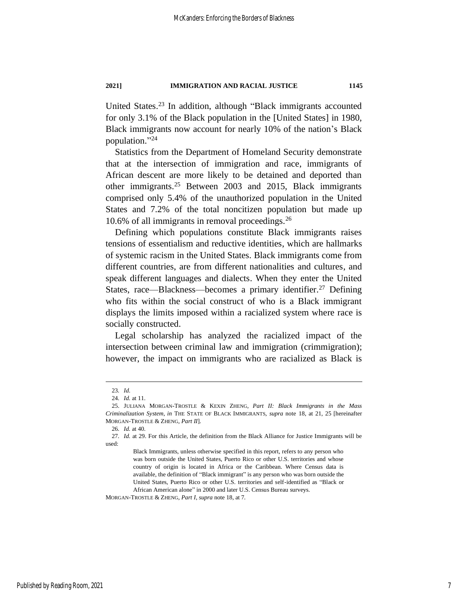United States. <sup>23</sup> In addition, although "Black immigrants accounted for only 3.1% of the Black population in the [United States] in 1980, Black immigrants now account for nearly 10% of the nation's Black population." 24

<span id="page-7-0"></span>Statistics from the Department of Homeland Security demonstrate that at the intersection of immigration and race, immigrants of African descent are more likely to be detained and deported than other immigrants.<sup>25</sup> Between 2003 and 2015, Black immigrants comprised only 5.4% of the unauthorized population in the United States and 7.2% of the total noncitizen population but made up 10.6% of all immigrants in removal proceedings. $^{26}$ 

Defining which populations constitute Black immigrants raises tensions of essentialism and reductive identities, which are hallmarks of systemic racism in the United States. Black immigrants come from different countries, are from different nationalities and cultures, and speak different languages and dialects. When they enter the United States, race—Blackness—becomes a primary identifier.<sup>27</sup> Defining who fits within the social construct of who is a Black immigrant displays the limits imposed within a racialized system where race is socially constructed.

Legal scholarship has analyzed the racialized impact of the intersection between criminal law and immigration (crimmigration); however, the impact on immigrants who are racialized as Black is

MORGAN-TROSTLE & ZHENG, *Part I*, *supra* not[e 18,](#page-6-0) at 7*.*

<sup>23</sup>*. Id.*

<sup>24</sup>*. Id.* at 11.

<sup>25.</sup> JULIANA MORGAN-TROSTLE & KEXIN ZHENG, *Part II: Black Immigrants in the Mass Criminalization System*, *in* THE STATE OF BLACK IMMIGRANTS, *supra* note [18,](#page-6-0) at 21, 25 [hereinafter MORGAN-TROSTLE & ZHENG, *Part II*].

<sup>26</sup>*. Id.* at 40.

<sup>27</sup>*. Id.* at 29. For this Article, the definition from the Black Alliance for Justice Immigrants will be used:

Black Immigrants, unless otherwise specified in this report, refers to any person who was born outside the United States, Puerto Rico or other U.S. territories and whose country of origin is located in Africa or the Caribbean. Where Census data is available, the definition of "Black immigrant" is any person who was born outside the United States, Puerto Rico or other U.S. territories and self-identified as "Black or African American alone" in 2000 and later U.S. Census Bureau surveys.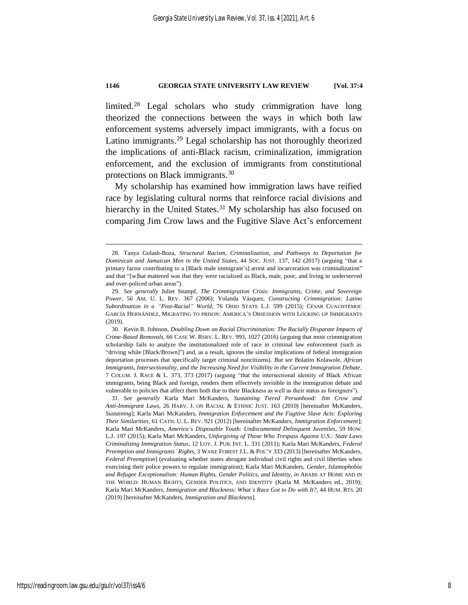<span id="page-8-2"></span>limited. <sup>28</sup> Legal scholars who study crimmigration have long theorized the connections between the ways in which both law enforcement systems adversely impact immigrants, with a focus on Latino immigrants.<sup>29</sup> Legal scholarship has not thoroughly theorized the implications of anti-Black racism, criminalization, immigration enforcement, and the exclusion of immigrants from constitutional protections on Black immigrants.<sup>30</sup>

<span id="page-8-1"></span><span id="page-8-0"></span>My scholarship has examined how immigration laws have reified race by legislating cultural norms that reinforce racial divisions and hierarchy in the United States.<sup>31</sup> My scholarship has also focused on comparing Jim Crow laws and the Fugitive Slave Act's enforcement

31*. See generally* Karla Mari McKanders, *Sustaining Tiered Personhood: Jim Crow and Anti-Immigrant Laws*, 26 HARV. J. ON RACIAL & ETHNIC JUST. 163 (2010) [hereinafter McKanders, *Sustaining*]; Karla Mari McKanders, *Immigration Enforcement and the Fugitive Slave Acts: Exploring Their Similarities*, 61 CATH. U. L. REV. 921 (2012) [hereinafter McKanders, *Immigration Enforcement*]; Karla Mari McKanders, *America's Disposable Youth: Undocumented Delinquent Juveniles*, 59 HOW. L.J. 197 (2015); Karla Mari McKanders, *Unforgiving of Those Who Trespass Against U.S.: State Laws Criminalizing Immigration Status*, 12 LOY. J. PUB. INT. L. 331 (2011); Karla Mari McKanders, *Federal Preemption and Immigrants' Rights*, 3 WAKE FOREST J.L. & POL'Y 333 (2013) [hereinafter McKanders, *Federal Preemption*] (evaluating whether states abrogate individual civil rights and civil liberties when exercising their police powers to regulate immigration); Karla Mari McKanders, *Gender, Islamophobia and Refugee Exceptionalism: Human Rights, Gender Politics, and Identity*, *in* ARABS AT HOME AND IN THE WORLD: HUMAN RIGHTS, GENDER POLITICS, AND IDENTITY (Karla M. McKanders ed., 2019); Karla Mari McKanders, *Immigration and Blackness: What's Race Got to Do with It?*, 44 HUM. RTS. 20 (2019) [hereinafter McKanders, *Immigration and Blackness*].

<sup>28.</sup> Tanya Golash-Boza, *Structural Racism, Criminalization, and Pathways to Deportation for Dominican and Jamaican Men in the United States*, 44 SOC. JUST. 137, 142 (2017) (arguing "that a primary factor contributing to a [Black male immigrant's] arrest and incarceration was criminalization" and that "[w]hat mattered was that they were racialized as Black, male, poor, and living in underserved and over-policed urban areas").

<sup>29</sup>*. See generally* Juliet Stumpf, *The Crimmigration Crisis: Immigrants, Crime, and Sovereign Power*, 56 AM. U. L. REV. 367 (2006); Yolanda Vázquez, *Constructing Crimmigration: Latino Subordination in a "Post-Racial" World*, 76 OHIO STATE L.J. 599 (2015); CÉSAR CUAUHTÉMOC GARCÍA HERNÁNDEZ, MIGRATING TO PRISON: AMERICA'S OBSESSION WITH LOCKING UP IMMIGRANTS (2019).

<sup>30.</sup> Kevin R. Johnson, *Doubling Down on Racial Discrimination: The Racially Disparate Impacts of Crime-Based Removals*, 66 CASE W. RSRV. L. REV. 993, 1027 (2016) (arguing that most crimmigration scholarship fails to analyze the institutionalized role of race in criminal law enforcement (such as "driving while [Black/Brown]") and, as a result, ignores the similar implications of federal immigration deportation processes that specifically target criminal noncitizens). *But see* Bolatito Kolawole, *African Immigrants, Intersectionality, and the Increasing Need for Visibility in the Current Immigration Debate*, 7 COLUM. J. RACE & L. 373, 373 (2017) (arguing "that the intersectional identity of Black African immigrants, being Black and foreign, renders them effectively invisible in the immigration debate and vulnerable to policies that affect them both due to their Blackness as well as their status as foreigners").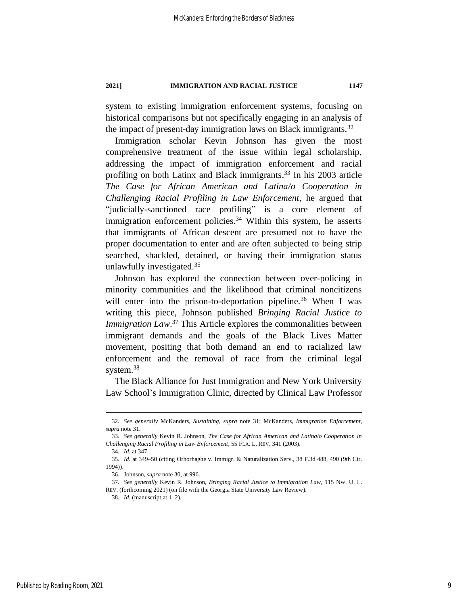system to existing immigration enforcement systems, focusing on historical comparisons but not specifically engaging in an analysis of the impact of present-day immigration laws on Black immigrants. $32$ 

<span id="page-9-0"></span>Immigration scholar Kevin Johnson has given the most comprehensive treatment of the issue within legal scholarship, addressing the impact of immigration enforcement and racial profiling on both Latinx and Black immigrants. <sup>33</sup> In his 2003 article *The Case for African American and Latina/o Cooperation in Challenging Racial Profiling in Law Enforcement*, he argued that "judicially-sanctioned race profiling" is a core element of immigration enforcement policies.<sup>34</sup> Within this system, he asserts that immigrants of African descent are presumed not to have the proper documentation to enter and are often subjected to being strip searched, shackled, detained, or having their immigration status unlawfully investigated. 35

Johnson has explored the connection between over-policing in minority communities and the likelihood that criminal noncitizens will enter into the prison-to-deportation pipeline.<sup>36</sup> When I was writing this piece, Johnson published *Bringing Racial Justice to Immigration Law*.<sup>37</sup> This Article explores the commonalities between immigrant demands and the goals of the Black Lives Matter movement, positing that both demand an end to racialized law enforcement and the removal of race from the criminal legal system.<sup>38</sup>

The Black Alliance for Just Immigration and New York University Law School's Immigration Clinic, directed by Clinical Law Professor

<sup>32</sup>*. See generally* McKanders, *Sustaining*, *supra* note [31;](#page-8-0) McKanders, *Immigration Enforcement*, *supra* not[e 31.](#page-8-0)

<sup>33</sup>*. See generally* Kevin R. Johnson, *The Case for African American and Latina/o Cooperation in Challenging Racial Profiling in Law Enforcement*, 55 FLA. L. REV. 341 (2003).

<sup>34</sup>*. Id.* at 347.

<sup>35</sup>*. Id.* at 349–50 (citing Orhorhaghe v. Immigr. & Naturalization Serv., 38 F.3d 488, 490 (9th Cir. 1994)).

<sup>36.</sup> Johnson, *supra* not[e 30,](#page-8-1) at 996.

<sup>37</sup>*. See generally* Kevin R. Johnson, *Bringing Racial Justice to Immigration Law*, 115 NW. U. L. REV. (forthcoming 2021) (on file with the Georgia State University Law Review).

<sup>38</sup>*. Id.* (manuscript at 1–2).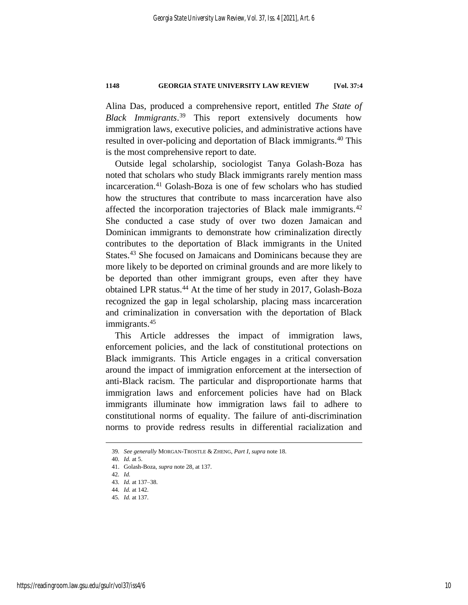Alina Das, produced a comprehensive report, entitled *The State of Black Immigrants*. <sup>39</sup> This report extensively documents how immigration laws, executive policies, and administrative actions have resulted in over-policing and deportation of Black immigrants.<sup>40</sup> This is the most comprehensive report to date.

Outside legal scholarship, sociologist Tanya Golash-Boza has noted that scholars who study Black immigrants rarely mention mass incarceration.<sup>41</sup> Golash-Boza is one of few scholars who has studied how the structures that contribute to mass incarceration have also affected the incorporation trajectories of Black male immigrants.<sup>42</sup> She conducted a case study of over two dozen Jamaican and Dominican immigrants to demonstrate how criminalization directly contributes to the deportation of Black immigrants in the United States.<sup>43</sup> She focused on Jamaicans and Dominicans because they are more likely to be deported on criminal grounds and are more likely to be deported than other immigrant groups, even after they have obtained LPR status. <sup>44</sup> At the time of her study in 2017, Golash-Boza recognized the gap in legal scholarship, placing mass incarceration and criminalization in conversation with the deportation of Black immigrants.<sup>45</sup>

This Article addresses the impact of immigration laws, enforcement policies, and the lack of constitutional protections on Black immigrants. This Article engages in a critical conversation around the impact of immigration enforcement at the intersection of anti-Black racism. The particular and disproportionate harms that immigration laws and enforcement policies have had on Black immigrants illuminate how immigration laws fail to adhere to constitutional norms of equality. The failure of anti-discrimination norms to provide redress results in differential racialization and

<sup>39</sup>*. See generally* MORGAN-TROSTLE & ZHENG, *Part I*, *supra* not[e 18.](#page-6-0)

<sup>40</sup>*. Id.* at 5.

<sup>41.</sup> Golash-Boza, *supra* note [28,](#page-8-2) at 137.

<sup>42</sup>*. Id.*

<sup>43</sup>*. Id.* at 137–38.

<sup>44</sup>*. Id.* at 142.

<sup>45</sup>*. Id.* at 137.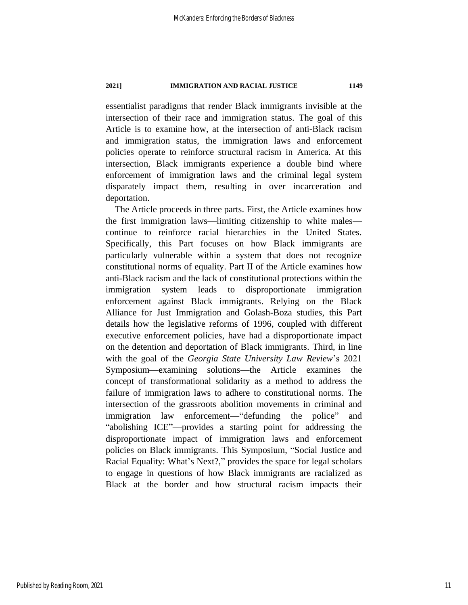essentialist paradigms that render Black immigrants invisible at the intersection of their race and immigration status. The goal of this Article is to examine how, at the intersection of anti-Black racism and immigration status, the immigration laws and enforcement policies operate to reinforce structural racism in America. At this intersection, Black immigrants experience a double bind where enforcement of immigration laws and the criminal legal system disparately impact them, resulting in over incarceration and deportation.

The Article proceeds in three parts. First, the Article examines how the first immigration laws—limiting citizenship to white males continue to reinforce racial hierarchies in the United States. Specifically, this Part focuses on how Black immigrants are particularly vulnerable within a system that does not recognize constitutional norms of equality. Part II of the Article examines how anti-Black racism and the lack of constitutional protections within the immigration system leads to disproportionate immigration enforcement against Black immigrants. Relying on the Black Alliance for Just Immigration and Golash-Boza studies, this Part details how the legislative reforms of 1996, coupled with different executive enforcement policies, have had a disproportionate impact on the detention and deportation of Black immigrants. Third, in line with the goal of the *Georgia State University Law Review*'s 2021 Symposium—examining solutions—the Article examines the concept of transformational solidarity as a method to address the failure of immigration laws to adhere to constitutional norms. The intersection of the grassroots abolition movements in criminal and immigration law enforcement—"defunding the police" and "abolishing ICE"—provides a starting point for addressing the disproportionate impact of immigration laws and enforcement policies on Black immigrants. This Symposium, "Social Justice and Racial Equality: What's Next?," provides the space for legal scholars to engage in questions of how Black immigrants are racialized as Black at the border and how structural racism impacts their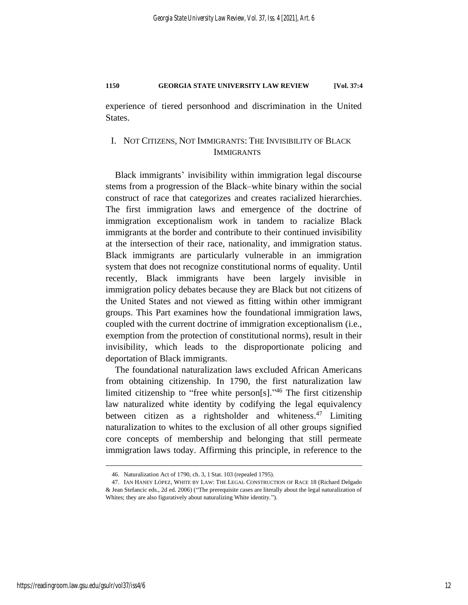experience of tiered personhood and discrimination in the United States.

### <span id="page-12-0"></span>I. NOT CITIZENS, NOT IMMIGRANTS: THE INVISIBILITY OF BLACK IMMIGRANTS

Black immigrants' invisibility within immigration legal discourse stems from a progression of the Black–white binary within the social construct of race that categorizes and creates racialized hierarchies. The first immigration laws and emergence of the doctrine of immigration exceptionalism work in tandem to racialize Black immigrants at the border and contribute to their continued invisibility at the intersection of their race, nationality, and immigration status. Black immigrants are particularly vulnerable in an immigration system that does not recognize constitutional norms of equality. Until recently, Black immigrants have been largely invisible in immigration policy debates because they are Black but not citizens of the United States and not viewed as fitting within other immigrant groups. This Part examines how the foundational immigration laws, coupled with the current doctrine of immigration exceptionalism (i.e., exemption from the protection of constitutional norms), result in their invisibility, which leads to the disproportionate policing and deportation of Black immigrants.

The foundational naturalization laws excluded African Americans from obtaining citizenship. In 1790, the first naturalization law limited citizenship to "free white person[s]." <sup>46</sup> The first citizenship law naturalized white identity by codifying the legal equivalency between citizen as a rightsholder and whiteness.<sup>47</sup> Limiting naturalization to whites to the exclusion of all other groups signified core concepts of membership and belonging that still permeate immigration laws today. Affirming this principle, in reference to the

<span id="page-12-1"></span><sup>46.</sup> Naturalization Act of 1790, ch. 3, 1 Stat. 103 (repealed 1795).

<sup>47.</sup> IAN HANEY LÓPEZ, WHITE BY LAW: THE LEGAL CONSTRUCTION OF RACE 18 (Richard Delgado & Jean Stefancic eds., 2d ed. 2006) ("The prerequisite cases are literally about the legal naturalization of Whites; they are also figuratively about naturalizing White identity.").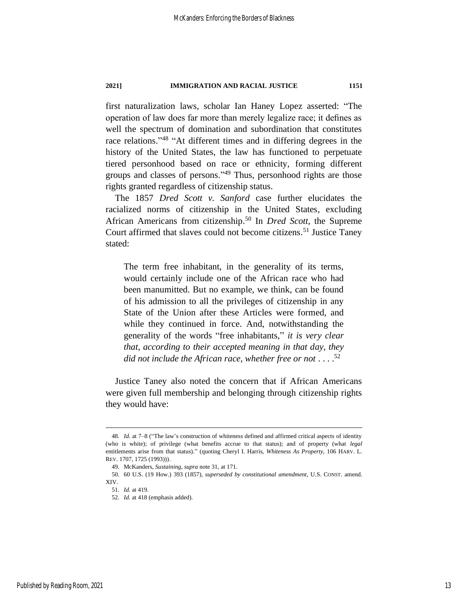first naturalization laws, scholar Ian Haney Lopez asserted: "The operation of law does far more than merely legalize race; it defines as well the spectrum of domination and subordination that constitutes race relations."<sup>48</sup> "At different times and in differing degrees in the history of the United States, the law has functioned to perpetuate tiered personhood based on race or ethnicity, forming different groups and classes of persons." <sup>49</sup> Thus, personhood rights are those rights granted regardless of citizenship status.

The 1857 *Dred Scott v. Sanford* case further elucidates the racialized norms of citizenship in the United States, excluding African Americans from citizenship. <sup>50</sup> In *Dred Scott*, the Supreme Court affirmed that slaves could not become citizens.<sup>51</sup> Justice Taney stated:

The term free inhabitant, in the generality of its terms, would certainly include one of the African race who had been manumitted. But no example, we think, can be found of his admission to all the privileges of citizenship in any State of the Union after these Articles were formed, and while they continued in force. And, notwithstanding the generality of the words "free inhabitants," *it is very clear that, according to their accepted meaning in that day, they did not include the African race, whether free or not* . . . . 52

Justice Taney also noted the concern that if African Americans were given full membership and belonging through citizenship rights they would have:

<sup>48</sup>*. Id.* at 7–8 ("The law's construction of whiteness defined and affirmed critical aspects of identity (who is white); of privilege (what benefits accrue to that status); and of property (what *legal* entitlements arise from that status)." (quoting Cheryl I. Harris, *Whiteness As Property*, 106 HARV. L. REV. 1707, 1725 (1993))).

<sup>49.</sup> McKanders, *Sustaining*, *supra* note [31,](#page-8-0) at 171.

<sup>50.</sup> 60 U.S. (19 How.) 393 (1857), *superseded by constitutional amendment*, U.S. CONST. amend. XIV.

<sup>51</sup>*. Id.* at 419.

<sup>52</sup>*. Id.* at 418 (emphasis added).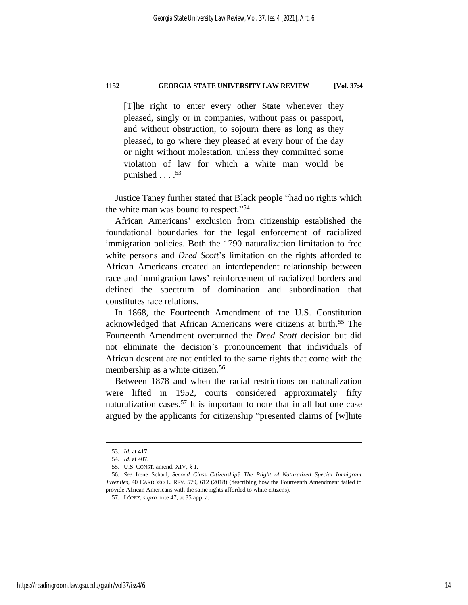[T]he right to enter every other State whenever they pleased, singly or in companies, without pass or passport, and without obstruction, to sojourn there as long as they pleased, to go where they pleased at every hour of the day or night without molestation, unless they committed some violation of law for which a white man would be punished  $\ldots$ .<sup>53</sup>

Justice Taney further stated that Black people "had no rights which the white man was bound to respect." 54

African Americans' exclusion from citizenship established the foundational boundaries for the legal enforcement of racialized immigration policies. Both the 1790 naturalization limitation to free white persons and *Dred Scott*'s limitation on the rights afforded to African Americans created an interdependent relationship between race and immigration laws' reinforcement of racialized borders and defined the spectrum of domination and subordination that constitutes race relations.

In 1868, the Fourteenth Amendment of the U.S. Constitution acknowledged that African Americans were citizens at birth. <sup>55</sup> The Fourteenth Amendment overturned the *Dred Scott* decision but did not eliminate the decision's pronouncement that individuals of African descent are not entitled to the same rights that come with the membership as a white citizen. 56

Between 1878 and when the racial restrictions on naturalization were lifted in 1952, courts considered approximately fifty naturalization cases.<sup>57</sup> It is important to note that in all but one case argued by the applicants for citizenship "presented claims of [w]hite

<sup>53</sup>*. Id.* at 417.

<sup>54</sup>*. Id.* at 407.

<sup>55.</sup> U.S. CONST. amend. XIV, § 1.

<sup>56</sup>*. See* Irene Scharf, *Second Class Citizenship? The Plight of Naturalized Special Immigrant Juveniles*, 40 CARDOZO L. REV. 579, 612 (2018) (describing how the Fourteenth Amendment failed to provide African Americans with the same rights afforded to white citizens).

<sup>57.</sup> LÓPEZ, *supra* not[e 47,](#page-12-1) at 35 app. a.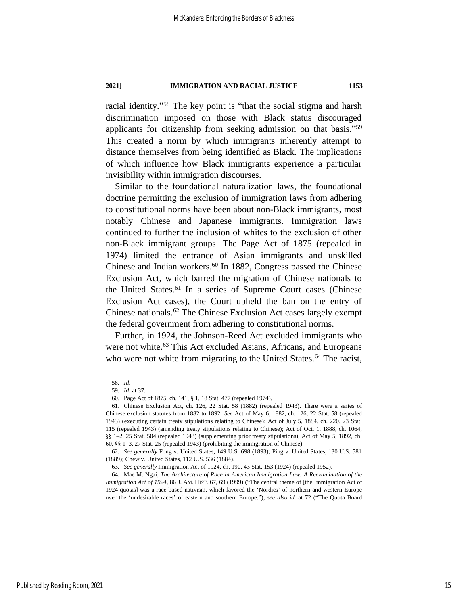racial identity."<sup>58</sup> The key point is "that the social stigma and harsh discrimination imposed on those with Black status discouraged applicants for citizenship from seeking admission on that basis." 59 This created a norm by which immigrants inherently attempt to distance themselves from being identified as Black. The implications of which influence how Black immigrants experience a particular invisibility within immigration discourses.

Similar to the foundational naturalization laws, the foundational doctrine permitting the exclusion of immigration laws from adhering to constitutional norms have been about non-Black immigrants, most notably Chinese and Japanese immigrants. Immigration laws continued to further the inclusion of whites to the exclusion of other non-Black immigrant groups. The Page Act of 1875 (repealed in 1974) limited the entrance of Asian immigrants and unskilled Chinese and Indian workers.<sup>60</sup> In 1882, Congress passed the Chinese Exclusion Act, which barred the migration of Chinese nationals to the United States.<sup>61</sup> In a series of Supreme Court cases (Chinese Exclusion Act cases), the Court upheld the ban on the entry of Chinese nationals.<sup>62</sup> The Chinese Exclusion Act cases largely exempt the federal government from adhering to constitutional norms.

Further, in 1924, the Johnson-Reed Act excluded immigrants who were not white.<sup>63</sup> This Act excluded Asians, Africans, and Europeans who were not white from migrating to the United States.<sup>64</sup> The racist,

<sup>58</sup>*. Id.*

<sup>59</sup>*. Id.* at 37.

<sup>60.</sup> Page Act of 1875, ch. 141, § 1, 18 Stat. 477 (repealed 1974).

<sup>61.</sup> Chinese Exclusion Act, ch. 126, 22 Stat. 58 (1882) (repealed 1943). There were a series of Chinese exclusion statutes from 1882 to 1892. *See* Act of May 6, 1882, ch. 126, 22 Stat. 58 (repealed 1943) (executing certain treaty stipulations relating to Chinese); Act of July 5, 1884, ch. 220, 23 Stat. 115 (repealed 1943) (amending treaty stipulations relating to Chinese); Act of Oct. 1, 1888, ch. 1064, §§ 1-2, 25 Stat. 504 (repealed 1943) (supplementing prior treaty stipulations); Act of May 5, 1892, ch. 60, §§ 1–3, 27 Stat. 25 (repealed 1943) (prohibiting the immigration of Chinese).

<sup>62</sup>*. See generally* Fong v. United States, 149 U.S. 698 (1893); Ping v. United States, 130 U.S. 581 (1889); Chew v. United States, 112 U.S. 536 (1884).

<sup>63</sup>*. See generally* Immigration Act of 1924, ch. 190, 43 Stat. 153 (1924) (repealed 1952).

<sup>64.</sup> Mae M. Ngai, *The Architecture of Race in American Immigration Law: A Reexamination of the Immigration Act of 1924*, 86 J. AM. HIST. 67, 69 (1999) ("The central theme of [the Immigration Act of 1924 quotas] was a race-based nativism, which favored the 'Nordics' of northern and western Europe over the 'undesirable races' of eastern and southern Europe."); *see also id.* at 72 ("The Quota Board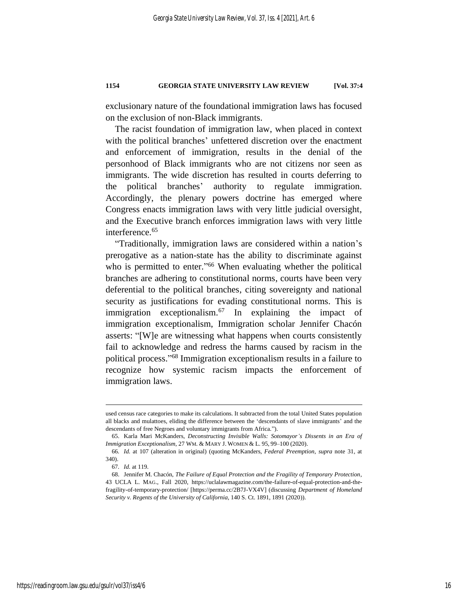exclusionary nature of the foundational immigration laws has focused on the exclusion of non-Black immigrants.

The racist foundation of immigration law, when placed in context with the political branches' unfettered discretion over the enactment and enforcement of immigration, results in the denial of the personhood of Black immigrants who are not citizens nor seen as immigrants. The wide discretion has resulted in courts deferring to the political branches' authority to regulate immigration. Accordingly, the plenary powers doctrine has emerged where Congress enacts immigration laws with very little judicial oversight, and the Executive branch enforces immigration laws with very little interference.<sup>65</sup>

"Traditionally, immigration laws are considered within a nation's prerogative as a nation-state has the ability to discriminate against who is permitted to enter."<sup>66</sup> When evaluating whether the political branches are adhering to constitutional norms, courts have been very deferential to the political branches, citing sovereignty and national security as justifications for evading constitutional norms. This is immigration exceptionalism. $67$  In explaining the impact of immigration exceptionalism, Immigration scholar Jennifer Chacón asserts: "[W]e are witnessing what happens when courts consistently fail to acknowledge and redress the harms caused by racism in the political process." <sup>68</sup> Immigration exceptionalism results in a failure to recognize how systemic racism impacts the enforcement of immigration laws.

used census race categories to make its calculations. It subtracted from the total United States population all blacks and mulattoes, eliding the difference between the 'descendants of slave immigrants' and the descendants of free Negroes and voluntary immigrants from Africa.").

<sup>65.</sup> Karla Mari McKanders, *Deconstructing Invisible Walls: Sotomayor's Dissents in an Era of Immigration Exceptionalism*, 27 WM. & MARY J. WOMEN & L. 95, 99–100 (2020).

<sup>66</sup>*. Id.* at 107 (alteration in original) (quoting McKanders, *Federal Preemption*, *supra* note [31,](#page-8-0) at 340).

<sup>67</sup>*. Id.* at 119.

<sup>68.</sup> Jennifer M. Chacón, *The Failure of Equal Protection and the Fragility of Temporary Protection*, 43 UCLA L. MAG., Fall 2020, https://uclalawmagazine.com/the-failure-of-equal-protection-and-thefragility-of-temporary-protection/ [https://perma.cc/2B7J-VX4V] (discussing *Department of Homeland Security v. Regents of the University of California*, 140 S. Ct. 1891, 1891 (2020))*.*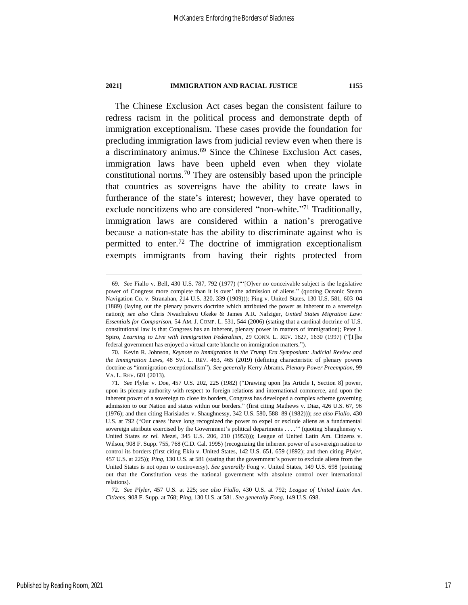The Chinese Exclusion Act cases began the consistent failure to redress racism in the political process and demonstrate depth of immigration exceptionalism. These cases provide the foundation for precluding immigration laws from judicial review even when there is a discriminatory animus.<sup>69</sup> Since the Chinese Exclusion Act cases, immigration laws have been upheld even when they violate constitutional norms.<sup>70</sup> They are ostensibly based upon the principle that countries as sovereigns have the ability to create laws in furtherance of the state's interest; however, they have operated to exclude noncitizens who are considered "non-white."<sup>71</sup> Traditionally, immigration laws are considered within a nation's prerogative because a nation-state has the ability to discriminate against who is permitted to enter.<sup>72</sup> The doctrine of immigration exceptionalism exempts immigrants from having their rights protected from

<sup>69</sup>*. See* Fiallo v. Bell, 430 U.S. 787, 792 (1977) ("'[O]ver no conceivable subject is the legislative power of Congress more complete than it is over' the admission of aliens." (quoting Oceanic Steam Navigation Co. v. Stranahan, 214 U.S. 320, 339 (1909))); Ping v. United States, 130 U.S. 581, 603–04 (1889) (laying out the plenary powers doctrine which attributed the power as inherent to a sovereign nation); *see also* Chris Nwachukwu Okeke & James A.R. Nafziger, *United States Migration Law: Essentials for Comparison*, 54 AM. J. COMP. L. 531, 544 (2006) (stating that a cardinal doctrine of U.S. constitutional law is that Congress has an inherent, plenary power in matters of immigration); Peter J. Spiro, *Learning to Live with Immigration Federalism*, 29 CONN. L. REV. 1627, 1630 (1997) ("[T]he federal government has enjoyed a virtual carte blanche on immigration matters.").

<sup>70</sup>*.* Kevin R. Johnson, *Keynote to Immigration in the Trump Era Symposium: Judicial Review and the Immigration Laws*, 48 SW. L. REV. 463, 465 (2019) (defining characteristic of plenary powers doctrine as "immigration exceptionalism"). *See generally* Kerry Abrams, *Plenary Power Preemption*, 99 VA. L. REV. 601 (2013).

<sup>71</sup>*. See* Plyler v. Doe, 457 U.S. 202, 225 (1982) ("Drawing upon [its Article I, Section 8] power, upon its plenary authority with respect to foreign relations and international commerce, and upon the inherent power of a sovereign to close its borders, Congress has developed a complex scheme governing admission to our Nation and status within our borders." (first citing Mathews v. Diaz, 426 U.S. 67, 96 (1976); and then citing Harisiades v. Shaughnessy, 342 U.S. 580, 588–89 (1982))); *see also Fiallo*, 430 U.S. at 792 ("Our cases 'have long recognized the power to expel or exclude aliens as a fundamental sovereign attribute exercised by the Government's political departments . . . .'" (quoting Shaughnessy v. United States *ex rel.* Mezei, 345 U.S. 206, 210 (1953))); League of United Latin Am. Citizens v. Wilson, 908 F. Supp. 755, 768 (C.D. Cal. 1995) (recognizing the inherent power of a sovereign nation to control its borders (first citing Ekiu v. United States, 142 U.S. 651, 659 (1892); and then citing *Plyler*, 457 U.S. at 225)); *Ping*, 130 U.S. at 581 (stating that the government's power to exclude aliens from the United States is not open to controversy). *See generally* Fong v. United States, 149 U.S. 698 (pointing out that the Constitution vests the national government with absolute control over international relations).

<sup>72</sup>*. See Plyler*, 457 U.S. at 225; *see also Fiallo*, 430 U.S. at 792; *League of United Latin Am. Citizens*, 908 F. Supp. at 768; *Ping*, 130 U.S. at 581. *See generally Fong*, 149 U.S. 698.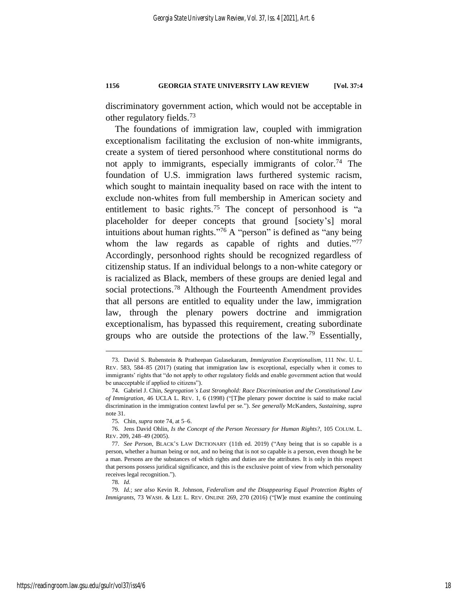discriminatory government action, which would not be acceptable in other regulatory fields. 73

<span id="page-18-0"></span>The foundations of immigration law, coupled with immigration exceptionalism facilitating the exclusion of non-white immigrants, create a system of tiered personhood where constitutional norms do not apply to immigrants, especially immigrants of color.<sup>74</sup> The foundation of U.S. immigration laws furthered systemic racism, which sought to maintain inequality based on race with the intent to exclude non-whites from full membership in American society and entitlement to basic rights.<sup>75</sup> The concept of personhood is "a placeholder for deeper concepts that ground [society's] moral intuitions about human rights." <sup>76</sup> A "person" is defined as "any being whom the law regards as capable of rights and duties."77 Accordingly, personhood rights should be recognized regardless of citizenship status. If an individual belongs to a non-white category or is racialized as Black, members of these groups are denied legal and social protections.<sup>78</sup> Although the Fourteenth Amendment provides that all persons are entitled to equality under the law, immigration law, through the plenary powers doctrine and immigration exceptionalism, has bypassed this requirement, creating subordinate groups who are outside the protections of the law.<sup>79</sup> Essentially,

78*. Id.*

<sup>73.</sup> David S. Rubenstein & Pratheepan Gulasekaram, *Immigration Exceptionalism*, 111 NW. U. L. REV. 583, 584–85 (2017) (stating that immigration law is exceptional, especially when it comes to immigrants' rights that "do not apply to other regulatory fields and enable government action that would be unacceptable if applied to citizens").

<sup>74.</sup> Gabriel J. Chin, *Segregation's Last Stronghold: Race Discrimination and the Constitutional Law of Immigration*, 46 UCLA L. REV. 1, 6 (1998) ("[T]he plenary power doctrine is said to make racial discrimination in the immigration context lawful per se."). *See generally* McKanders, *Sustaining*, *supra* not[e 31.](#page-8-0)

<sup>75</sup>*.* Chin, *supra* not[e 74,](#page-18-0) at 5–6.

<sup>76.</sup> Jens David Ohlin, *Is the Concept of the Person Necessary for Human Rights?*, 105 COLUM. L. REV. 209, 248–49 (2005).

<sup>77</sup>*. See Person*, BLACK'S LAW DICTIONARY (11th ed. 2019) ("Any being that is so capable is a person, whether a human being or not, and no being that is not so capable is a person, even though he be a man. Persons are the substances of which rights and duties are the attributes. It is only in this respect that persons possess juridical significance, and this is the exclusive point of view from which personality receives legal recognition.").

<sup>79</sup>*. Id.*; *see also* Kevin R. Johnson, *Federalism and the Disappearing Equal Protection Rights of Immigrants*, 73 WASH. & LEE L. REV. ONLINE 269, 270 (2016) ("[W]e must examine the continuing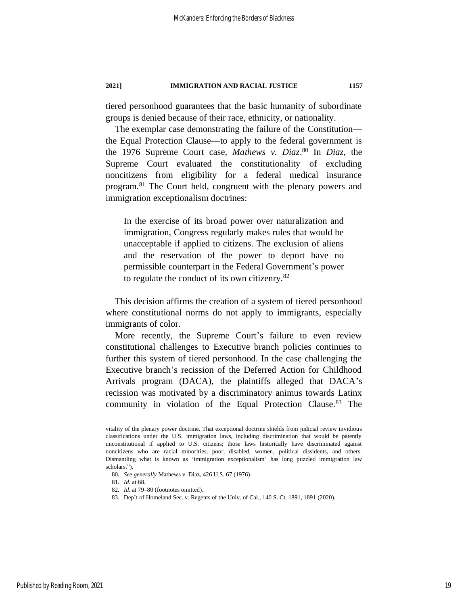tiered personhood guarantees that the basic humanity of subordinate groups is denied because of their race, ethnicity, or nationality.

The exemplar case demonstrating the failure of the Constitution the Equal Protection Clause—to apply to the federal government is the 1976 Supreme Court case, *Mathews v. Diaz*. <sup>80</sup> In *Diaz*, the Supreme Court evaluated the constitutionality of excluding noncitizens from eligibility for a federal medical insurance program.<sup>81</sup> The Court held, congruent with the plenary powers and immigration exceptionalism doctrines:

In the exercise of its broad power over naturalization and immigration, Congress regularly makes rules that would be unacceptable if applied to citizens. The exclusion of aliens and the reservation of the power to deport have no permissible counterpart in the Federal Government's power to regulate the conduct of its own citizenry.<sup>82</sup>

This decision affirms the creation of a system of tiered personhood where constitutional norms do not apply to immigrants, especially immigrants of color.

More recently, the Supreme Court's failure to even review constitutional challenges to Executive branch policies continues to further this system of tiered personhood. In the case challenging the Executive branch's recission of the Deferred Action for Childhood Arrivals program (DACA), the plaintiffs alleged that DACA's recission was motivated by a discriminatory animus towards Latinx community in violation of the Equal Protection Clause. <sup>83</sup> The

vitality of the plenary power doctrine. That exceptional doctrine shields from judicial review invidious classifications under the U.S. immigration laws, including discrimination that would be patently unconstitutional if applied to U.S. citizens; those laws historically have discriminated against noncitizens who are racial minorities, poor, disabled, women, political dissidents, and others. Dismantling what is known as 'immigration exceptionalism' has long puzzled immigration law scholars.").

<sup>80</sup>*. See generally* Mathews v. Diaz, 426 U.S. 67 (1976).

<sup>81</sup>*. Id.* at 68.

<sup>82</sup>*. Id.* at 79–80 (footnotes omitted).

<sup>83.</sup> Dep't of Homeland Sec. v. Regents of the Univ. of Cal., 140 S. Ct. 1891, 1891 (2020)*.*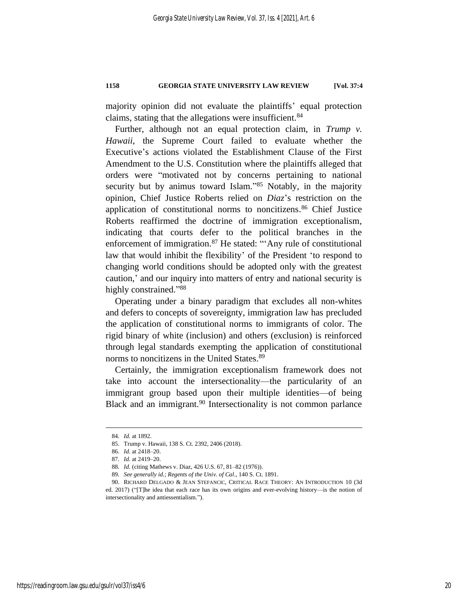majority opinion did not evaluate the plaintiffs' equal protection claims, stating that the allegations were insufficient.<sup>84</sup>

Further, although not an equal protection claim, in *Trump v. Hawaii*, the Supreme Court failed to evaluate whether the Executive's actions violated the Establishment Clause of the First Amendment to the U.S. Constitution where the plaintiffs alleged that orders were "motivated not by concerns pertaining to national security but by animus toward Islam."<sup>85</sup> Notably, in the majority opinion, Chief Justice Roberts relied on *Diaz*'s restriction on the application of constitutional norms to noncitizens.<sup>86</sup> Chief Justice Roberts reaffirmed the doctrine of immigration exceptionalism, indicating that courts defer to the political branches in the enforcement of immigration.<sup>87</sup> He stated: "'Any rule of constitutional law that would inhibit the flexibility' of the President 'to respond to changing world conditions should be adopted only with the greatest caution,' and our inquiry into matters of entry and national security is highly constrained."88

Operating under a binary paradigm that excludes all non-whites and defers to concepts of sovereignty, immigration law has precluded the application of constitutional norms to immigrants of color. The rigid binary of white (inclusion) and others (exclusion) is reinforced through legal standards exempting the application of constitutional norms to noncitizens in the United States. 89

Certainly, the immigration exceptionalism framework does not take into account the intersectionality—the particularity of an immigrant group based upon their multiple identities—of being Black and an immigrant.<sup>90</sup> Intersectionality is not common parlance

<sup>84</sup>*. Id.* at 1892.

<sup>85.</sup> Trump v. Hawaii, 138 S. Ct. 2392, 2406 (2018).

<sup>86</sup>*. Id.* at 2418–20.

<sup>87</sup>*. Id.* at 2419–20.

<sup>88</sup>*. Id.* (citing Mathews v. Diaz, 426 U.S. 67, 81–82 (1976)).

<sup>89</sup>*. See generally id.*; *Regents of the Univ. of Cal*., 140 S. Ct. 1891.

<sup>90.</sup> RICHARD DELGADO & JEAN STEFANCIC, CRITICAL RACE THEORY: AN INTRODUCTION 10 (3d ed. 2017) ("[T]he idea that each race has its own origins and ever-evolving history—is the notion of intersectionality and antiessentialism.").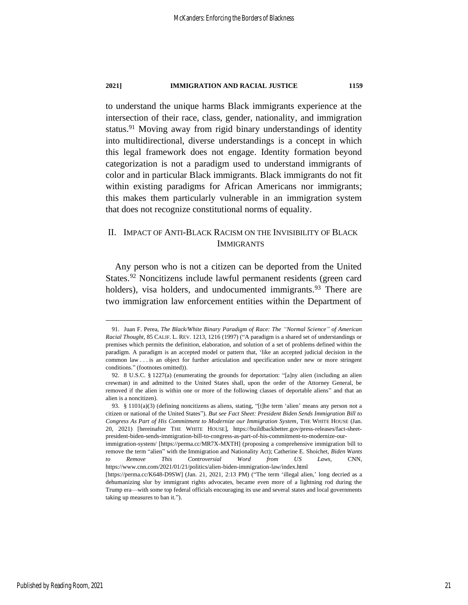<span id="page-21-2"></span>to understand the unique harms Black immigrants experience at the intersection of their race, class, gender, nationality, and immigration status.<sup>91</sup> Moving away from rigid binary understandings of identity into multidirectional, diverse understandings is a concept in which this legal framework does not engage. Identity formation beyond categorization is not a paradigm used to understand immigrants of color and in particular Black immigrants. Black immigrants do not fit within existing paradigms for African Americans nor immigrants; this makes them particularly vulnerable in an immigration system that does not recognize constitutional norms of equality.

## <span id="page-21-0"></span>II. IMPACT OF ANTI-BLACK RACISM ON THE INVISIBILITY OF BLACK IMMIGRANTS

<span id="page-21-1"></span>Any person who is not a citizen can be deported from the United States.<sup>92</sup> Noncitizens include lawful permanent residents (green card holders), visa holders, and undocumented immigrants.<sup>93</sup> There are two immigration law enforcement entities within the Department of

<sup>91.</sup> Juan F. Perea, *The Black/White Binary Paradigm of Race: The "Normal Science" of American Racial Thought*, 85 CALIF. L. REV. 1213, 1216 (1997) ("A paradigm is a shared set of understandings or premises which permits the definition, elaboration, and solution of a set of problems defined within the paradigm. A paradigm is an accepted model or pattern that, 'like an accepted judicial decision in the common law . . . is an object for further articulation and specification under new or more stringent conditions." (footnotes omitted)).

<sup>92.</sup> 8 U.S.C. § 1227(a) (enumerating the grounds for deportation: "[a]ny alien (including an alien crewman) in and admitted to the United States shall, upon the order of the Attorney General, be removed if the alien is within one or more of the following classes of deportable aliens" and that an alien is a noncitizen).

<sup>93.</sup> § 1101(a)(3) (defining noncitizens as aliens, stating, "[t]he term 'alien' means any person not a citizen or national of the United States"). *But see Fact Sheet: President Biden Sends Immigration Bill to Congress As Part of His Commitment to Modernize our Immigration System*, THE WHITE HOUSE (Jan. 20, 2021) [hereinafter THE WHITE HOUSE], https://buildbackbetter.gov/press-releases/fact-sheetpresident-biden-sends-immigration-bill-to-congress-as-part-of-his-commitment-to-modernize-our-

immigration-system/ [https://perma.cc/MR7X-MXTH] (proposing a comprehensive immigration bill to remove the term "alien" with the Immigration and Nationality Act); Catherine E. Shoichet, *Biden Wants to Remove This Controversial Word from US Laws*, CNN, https://www.cnn.com/2021/01/21/politics/alien-biden-immigration-law/index.html

<sup>[</sup>https://perma.cc/K648-D9SW] (Jan. 21, 2021, 2:13 PM) ("The term 'illegal alien,' long decried as a dehumanizing slur by immigrant rights advocates, became even more of a lightning rod during the Trump era—with some top federal officials encouraging its use and several states and local governments taking up measures to ban it.").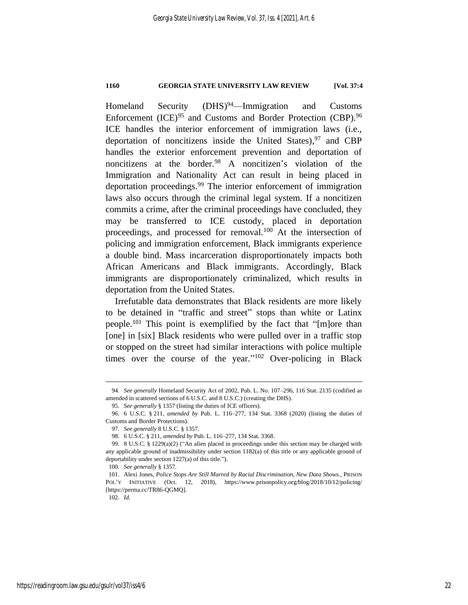Homeland Security (DHS)<sup>94</sup>—Immigration and Customs Enforcement (ICE)<sup>95</sup> and Customs and Border Protection (CBP).<sup>96</sup> ICE handles the interior enforcement of immigration laws (i.e., deportation of noncitizens inside the United States), <sup>97</sup> and CBP handles the exterior enforcement prevention and deportation of noncitizens at the border.<sup>98</sup> A noncitizen's violation of the Immigration and Nationality Act can result in being placed in deportation proceedings.<sup>99</sup> The interior enforcement of immigration laws also occurs through the criminal legal system. If a noncitizen commits a crime, after the criminal proceedings have concluded, they may be transferred to ICE custody, placed in deportation proceedings, and processed for removal.<sup>100</sup> At the intersection of policing and immigration enforcement, Black immigrants experience a double bind. Mass incarceration disproportionately impacts both African Americans and Black immigrants. Accordingly, Black immigrants are disproportionately criminalized, which results in deportation from the United States.

Irrefutable data demonstrates that Black residents are more likely to be detained in "traffic and street" stops than white or Latinx people.<sup>101</sup> This point is exemplified by the fact that "[m]ore than [one] in [six] Black residents who were pulled over in a traffic stop or stopped on the street had similar interactions with police multiple times over the course of the year."<sup>102</sup> Over-policing in Black

<sup>94</sup>*. See generally* Homeland Security Act of 2002, Pub. L. No. 107–296, 116 Stat. 2135 (codified as amended in scattered sections of 6 U.S.C. and 8 U.S.C.) (creating the DHS).

<sup>95</sup>*. See generally* § 1357 (listing the duties of ICE officers).

<sup>96.</sup> 6 U.S.C. § 211, *amended by* Pub. L. 116–277, 134 Stat. 3368 (2020) (listing the duties of Customs and Border Protections).

<sup>97</sup>*. See generally* 8 U.S.C. § 1357.

<sup>98.</sup> 6 U.S.C. § 211, *amended by* Pub. L. 116–277, 134 Stat. 3368.

<sup>99.</sup> 8 U.S.C. § 1229(a)(2) ("An alien placed in proceedings under this section may be charged with any applicable ground of inadmissibility under section 1182(a) of this title or any applicable ground of deportability under section 1227(a) of this title.").

<sup>100</sup>*. See generally* § 1357.

<sup>101.</sup> Alexi Jones, *Police Stops Are Still Marred by Racial Discrimination, New Data Shows.*, PRISON POL'Y INITIATIVE (Oct. 12, 2018), https://www.prisonpolicy.org/blog/2018/10/12/policing/ [https://perma.cc/TR86-QGMQ].

<sup>102</sup>*. Id.*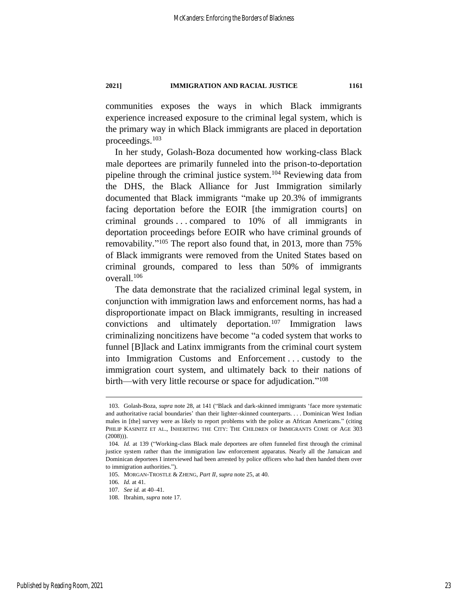communities exposes the ways in which Black immigrants experience increased exposure to the criminal legal system, which is the primary way in which Black immigrants are placed in deportation proceedings.<sup>103</sup>

In her study, Golash-Boza documented how working-class Black male deportees are primarily funneled into the prison-to-deportation pipeline through the criminal justice system.<sup>104</sup> Reviewing data from the DHS, the Black Alliance for Just Immigration similarly documented that Black immigrants "make up 20.3% of immigrants facing deportation before the EOIR [the immigration courts] on criminal grounds . . . compared to 10% of all immigrants in deportation proceedings before EOIR who have criminal grounds of removability."<sup>105</sup> The report also found that, in 2013, more than 75% of Black immigrants were removed from the United States based on criminal grounds, compared to less than 50% of immigrants overall.<sup>106</sup>

The data demonstrate that the racialized criminal legal system, in conjunction with immigration laws and enforcement norms, has had a disproportionate impact on Black immigrants, resulting in increased convictions and ultimately deportation.<sup>107</sup> Immigration laws criminalizing noncitizens have become "a coded system that works to funnel [B]lack and Latinx immigrants from the criminal court system into Immigration Customs and Enforcement . . . custody to the immigration court system, and ultimately back to their nations of birth—with very little recourse or space for adjudication."<sup>108</sup>

<sup>103.</sup> Golash-Boza, *supra* not[e 28,](#page-8-2) at 141 ("Black and dark-skinned immigrants 'face more systematic and authoritative racial boundaries' than their lighter-skinned counterparts. . . . Dominican West Indian males in [the] survey were as likely to report problems with the police as African Americans." (citing PHILIP KASINITZ ET AL., INHERITING THE CITY: THE CHILDREN OF IMMIGRANTS COME OF AGE 303  $(2008))$ .

<sup>104</sup>*. Id.* at 139 ("Working-class Black male deportees are often funneled first through the criminal justice system rather than the immigration law enforcement apparatus. Nearly all the Jamaican and Dominican deportees I interviewed had been arrested by police officers who had then handed them over to immigration authorities.").

<sup>105.</sup> MORGAN-TROSTLE & ZHENG, *Part II*, *supra* not[e 25,](#page-7-0) at 40.

<sup>106</sup>*. Id.* at 41.

<sup>107</sup>*. See id.* at 40–41.

<sup>108.</sup> Ibrahim, *supra* not[e 17.](#page-6-1)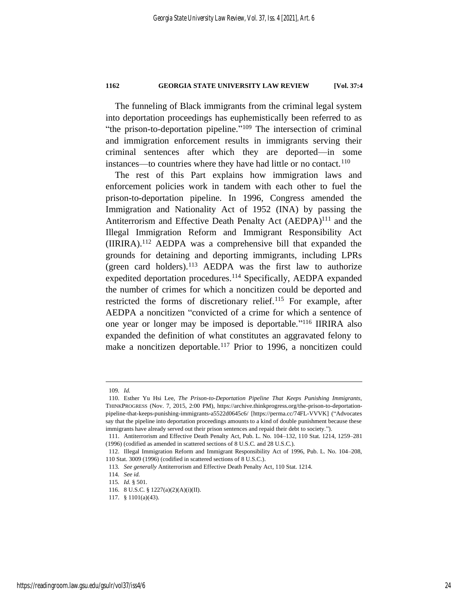The funneling of Black immigrants from the criminal legal system into deportation proceedings has euphemistically been referred to as "the prison-to-deportation pipeline."<sup>109</sup> The intersection of criminal and immigration enforcement results in immigrants serving their criminal sentences after which they are deported—in some instances—to countries where they have had little or no contact.<sup>110</sup>

The rest of this Part explains how immigration laws and enforcement policies work in tandem with each other to fuel the prison-to-deportation pipeline. In 1996, Congress amended the Immigration and Nationality Act of 1952 (INA) by passing the Antiterrorism and Effective Death Penalty Act (AEDPA)<sup>111</sup> and the Illegal Immigration Reform and Immigrant Responsibility Act (IIRIRA).<sup>112</sup> AEDPA was a comprehensive bill that expanded the grounds for detaining and deporting immigrants, including LPRs (green card holders).<sup>113</sup> AEDPA was the first law to authorize expedited deportation procedures.<sup>114</sup> Specifically, AEDPA expanded the number of crimes for which a noncitizen could be deported and restricted the forms of discretionary relief.<sup>115</sup> For example, after AEDPA a noncitizen "convicted of a crime for which a sentence of one year or longer may be imposed is deportable." <sup>116</sup> IIRIRA also expanded the definition of what constitutes an aggravated felony to make a noncitizen deportable.<sup>117</sup> Prior to 1996, a noncitizen could

<sup>109</sup>*. Id.*

<sup>110.</sup> Esther Yu Hsi Lee, *The Prison-to-Deportation Pipeline That Keeps Punishing Immigrants*, THINKPROGRESS (Nov. 7, 2015, 2:00 PM), https://archive.thinkprogress.org/the-prison-to-deportationpipeline-that-keeps-punishing-immigrants-a5522d0645c6/ [https://perma.cc/74FL-VVVK] ("Advocates say that the pipeline into deportation proceedings amounts to a kind of double punishment because these immigrants have already served out their prison sentences and repaid their debt to society.").

<sup>111.</sup> Antiterrorism and Effective Death Penalty Act, Pub. L. No. 104–132, 110 Stat. 1214, 1259–281 (1996) (codified as amended in scattered sections of 8 U.S.C. and 28 U.S.C.).

<sup>112.</sup> Illegal Immigration Reform and Immigrant Responsibility Act of 1996, Pub. L. No. 104–208, 110 Stat. 3009 (1996) (codified in scattered sections of 8 U.S.C.).

<sup>113</sup>*. See generally* Antiterrorism and Effective Death Penalty Act, 110 Stat. 1214.

<sup>114</sup>*. See id.*

<sup>115</sup>*. Id.* § 501.

<sup>116.</sup> 8 U.S.C. § 1227(a)(2)(A)(i)(II).

<sup>117.</sup> § 1101(a)(43).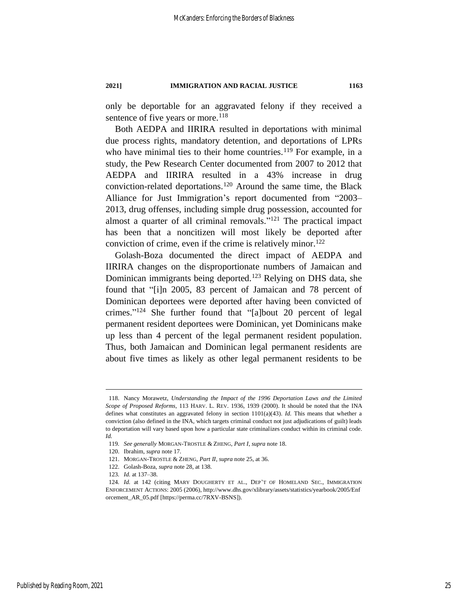only be deportable for an aggravated felony if they received a sentence of five years or more.<sup>118</sup>

Both AEDPA and IIRIRA resulted in deportations with minimal due process rights, mandatory detention, and deportations of LPRs who have minimal ties to their home countries.<sup>119</sup> For example, in a study, the Pew Research Center documented from 2007 to 2012 that AEDPA and IIRIRA resulted in a 43% increase in drug conviction-related deportations.<sup>120</sup> Around the same time, the Black Alliance for Just Immigration's report documented from "2003– 2013, drug offenses, including simple drug possession, accounted for almost a quarter of all criminal removals."<sup>121</sup> The practical impact has been that a noncitizen will most likely be deported after conviction of crime, even if the crime is relatively minor.<sup>122</sup>

Golash-Boza documented the direct impact of AEDPA and IIRIRA changes on the disproportionate numbers of Jamaican and Dominican immigrants being deported.<sup>123</sup> Relying on DHS data, she found that "[i]n 2005, 83 percent of Jamaican and 78 percent of Dominican deportees were deported after having been convicted of crimes." <sup>124</sup> She further found that "[a]bout 20 percent of legal permanent resident deportees were Dominican, yet Dominicans make up less than 4 percent of the legal permanent resident population. Thus, both Jamaican and Dominican legal permanent residents are about five times as likely as other legal permanent residents to be

<sup>118.</sup> Nancy Morawetz, *Understanding the Impact of the 1996 Deportation Laws and the Limited Scope of Proposed Reforms*, 113 HARV. L. REV. 1936, 1939 (2000). It should be noted that the INA defines what constitutes an aggravated felony in section 1101(a)(43). *Id.* This means that whether a conviction (also defined in the INA, which targets criminal conduct not just adjudications of guilt) leads to deportation will vary based upon how a particular state criminalizes conduct within its criminal code. *Id.*

<sup>119</sup>*. See generally* MORGAN-TROSTLE & ZHENG, *Part I*, *supra* not[e 18.](#page-6-0)

<sup>120.</sup> Ibrahim, *supra* not[e 17.](#page-6-1)

<sup>121.</sup> MORGAN-TROSTLE & ZHENG, *Part II*, *supra* not[e 25,](#page-7-0) at 36.

<sup>122.</sup> Golash-Boza, *supra* note [28,](#page-8-2) at 138.

<sup>123</sup>*. Id.* at 137–38.

<sup>124</sup>*. Id.* at 142 (citing MARY DOUGHERTY ET AL., DEP'T OF HOMELAND SEC., IMMIGRATION ENFORCEMENT ACTIONS: 2005 (2006), http://www.dhs.gov/xlibrary/assets/statistics/yearbook/2005/Enf orcement\_AR\_05.pdf [https://perma.cc/7RXV-BSNS]).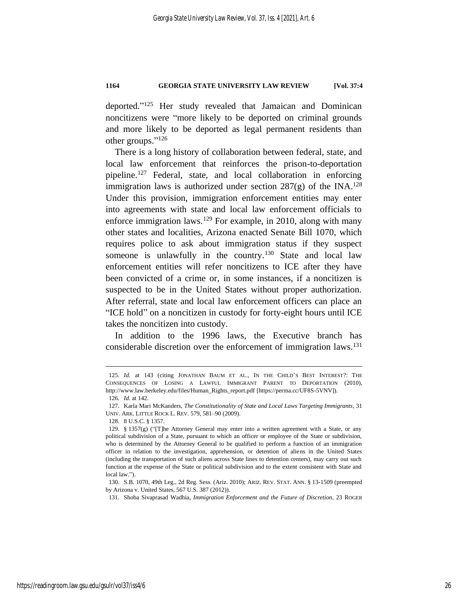deported." <sup>125</sup> Her study revealed that Jamaican and Dominican noncitizens were "more likely to be deported on criminal grounds and more likely to be deported as legal permanent residents than other groups." 126

There is a long history of collaboration between federal, state, and local law enforcement that reinforces the prison-to-deportation pipeline.<sup>127</sup> Federal, state, and local collaboration in enforcing immigration laws is authorized under section  $287(g)$  of the INA.<sup>128</sup> Under this provision, immigration enforcement entities may enter into agreements with state and local law enforcement officials to enforce immigration laws.<sup>129</sup> For example, in 2010, along with many other states and localities, Arizona enacted Senate Bill 1070, which requires police to ask about immigration status if they suspect someone is unlawfully in the country.<sup>130</sup> State and local law enforcement entities will refer noncitizens to ICE after they have been convicted of a crime or, in some instances, if a noncitizen is suspected to be in the United States without proper authorization. After referral, state and local law enforcement officers can place an "ICE hold" on a noncitizen in custody for forty-eight hours until ICE takes the noncitizen into custody.

In addition to the 1996 laws, the Executive branch has considerable discretion over the enforcement of immigration laws.<sup>131</sup>

131. Shoba Sivaprasad Wadhia, *Immigration Enforcement and the Future of Discretion*, 23 ROGER

<sup>125</sup>*. Id.* at 143 (citing JONATHAN BAUM ET AL., IN THE CHILD'S BEST INTEREST?: THE CONSEQUENCES OF LOSING A LAWFUL IMMIGRANT PARENT TO DEPORTATION (2010), http://www.law.berkeley.edu/files/Human\_Rights\_report.pdf [https://perma.cc/UF8S-5VNV]).

<sup>126</sup>*. Id.* at 142.

<sup>127.</sup> Karla Mari McKanders, *The Constitutionality of State and Local Laws Targeting Immigrants*, 31 UNIV. ARK. LITTLE ROCK L. REV. 579, 581–90 (2009).

<sup>128.</sup> 8 U.S.C. § 1357.

<sup>129. § 1357(</sup>g) ("[T]he Attorney General may enter into a written agreement with a State, or any political subdivision of a State, pursuant to which an officer or employee of the State or subdivision, who is determined by the Attorney General to be qualified to perform a function of an immigration officer in relation to the investigation, apprehension, or detention of aliens in the United States (including the transportation of such aliens across State lines to detention centers), may carry out such function at the expense of the State or political subdivision and to the extent consistent with State and local law.").

<sup>130.</sup> S.B. 1070, 49th Leg., 2d Reg. Sess. (Ariz. 2010); ARIZ. REV. STAT. ANN. § 13-1509 (preempted by Arizona v. United States, 567 U.S. 387 (2012)).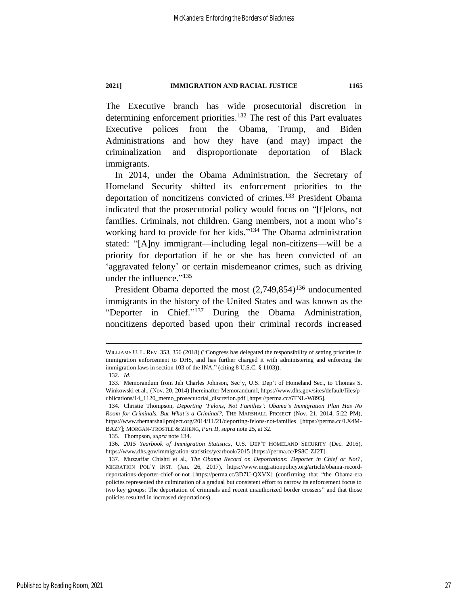The Executive branch has wide prosecutorial discretion in determining enforcement priorities.<sup>132</sup> The rest of this Part evaluates Executive polices from the Obama, Trump, and Biden Administrations and how they have (and may) impact the criminalization and disproportionate deportation of Black immigrants.

<span id="page-27-0"></span>In 2014, under the Obama Administration, the Secretary of Homeland Security shifted its enforcement priorities to the deportation of noncitizens convicted of crimes.<sup>133</sup> President Obama indicated that the prosecutorial policy would focus on "[f]elons, not families. Criminals, not children. Gang members, not a mom who's working hard to provide for her kids."<sup>134</sup> The Obama administration stated: "[A]ny immigrant—including legal non-citizens—will be a priority for deportation if he or she has been convicted of an 'aggravated felony' or certain misdemeanor crimes, such as driving under the influence."<sup>135</sup>

President Obama deported the most  $(2,749,854)^{136}$  undocumented immigrants in the history of the United States and was known as the "Deporter in Chief." <sup>137</sup> During the Obama Administration, noncitizens deported based upon their criminal records increased

135. Thompson, *supra* not[e 134.](#page-27-0)

WILLIAMS U. L. REV. 353, 356 (2018) ("Congress has delegated the responsibility of setting priorities in immigration enforcement to DHS, and has further charged it with administering and enforcing the immigration laws in section 103 of the INA." (citing 8 U.S.C. § 1103)).

<sup>132</sup>*. Id.*

<sup>133.</sup> Memorandum from Jeh Charles Johnson, Sec'y, U.S. Dep't of Homeland Sec., to Thomas S. Winkowski et al., (Nov. 20, 2014) [hereinafter Memorandum], https://www.dhs.gov/sites/default/files/p ublications/14\_1120\_memo\_prosecutorial\_discretion.pdf [https://perma.cc/6TNL-W895].

<sup>134.</sup> Christie Thompson, *Deporting 'Felons, Not Families': Obama's Immigration Plan Has No Room for Criminals. But What's a Criminal?*, THE MARSHALL PROJECT (Nov. 21, 2014, 5:22 PM), https://www.themarshallproject.org/2014/11/21/deporting-felons-not-families [https://perma.cc/LX4M-BAZ7]; MORGAN-TROSTLE & ZHENG, *Part II*, *supra* note [25,](#page-7-0) at 32.

<sup>136</sup>*. 2015 Yearbook of Immigration Statistics*, U.S. DEP'T HOMELAND SECURITY (Dec. 2016), https://www.dhs.gov/immigration-statistics/yearbook/2015 [https://perma.cc/PS8C-ZJ2T].

<sup>137.</sup> Muzzaffar Chishti et al., *The Obama Record on Deportations: Deporter in Chief or Not?*, MIGRATION POL'Y INST. (Jan. 26, 2017), https://www.migrationpolicy.org/article/obama-recorddeportations-deporter-chief-or-not [https://perma.cc/3D7U-QXVX] (confirming that "the Obama-era policies represented the culmination of a gradual but consistent effort to narrow its enforcement focus to two key groups: The deportation of criminals and recent unauthorized border crossers" and that those policies resulted in increased deportations).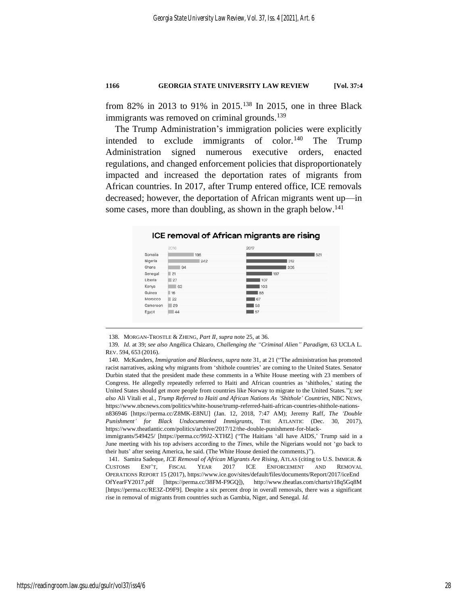from 82% in 2013 to 91% in 2015.<sup>138</sup> In 2015, one in three Black immigrants was removed on criminal grounds.<sup>139</sup>

The Trump Administration's immigration policies were explicitly intended to exclude immigrants of color.<sup>140</sup> The Trump Administration signed numerous executive orders, enacted regulations, and changed enforcement policies that disproportionately impacted and increased the deportation rates of migrants from African countries. In 2017, after Trump entered office, ICE removals decreased; however, the deportation of African migrants went up—in some cases, more than doubling, as shown in the graph below.<sup>141</sup>

#### ICE removal of African migrants are rising



<sup>138.</sup> MORGAN-TROSTLE & ZHENG, *Part II*, *supra* note [25,](#page-7-0) at 36.

immigrants/549425/ [https://perma.cc/99J2-XTHZ] ("The Haitians 'all have AIDS,' Trump said in a June meeting with his top advisers according to the *Times*, while the Nigerians would not 'go back to their huts' after seeing America, he said. (The White House denied the comments.)").

141. Samira Sadeque, *ICE Removal of African Migrants Are Rising*, ATLAS (citing to U.S. IMMIGR. & CUSTOMS ENF'T, FISCAL YEAR 2017 ICE ENFORCEMENT AND REMOVAL OPERATIONS REPORT 15 (2017), https://www.ice.gov/sites/default/files/documents/Report/2017/iceEnd OfYearFY2017.pdf [https://perma.cc/38FM-F9GQ]), http://www.theatlas.com/charts/r18q5Gq8M [https://perma.cc/RE3Z-D9F9]. Despite a six percent drop in overall removals, there was a significant rise in removal of migrants from countries such as Gambia, Niger, and Senegal. *Id.*

<sup>139</sup>*. Id.* at 39; *see also* Angélica Cházaro, *Challenging the "Criminal Alien" Paradigm*, 63 UCLA L. REV. 594, 653 (2016).

<sup>140.</sup> McKanders, *Immigration and Blackness*, *supra* not[e 31,](#page-8-0) at 21 ("The administration has promoted racist narratives, asking why migrants from 'shithole countries' are coming to the United States. Senator Durbin stated that the president made these comments in a White House meeting with 23 members of Congress. He allegedly repeatedly referred to Haiti and African countries as 'shitholes,' stating the United States should get more people from countries like Norway to migrate to the United States."); *see also* Ali Vitali et al., *Trump Referred to Haiti and African Nations As 'Shithole' Countries*, NBC NEWS, https://www.nbcnews.com/politics/white-house/trump-referred-haiti-african-countries-shithole-nationsn836946 [https://perma.cc/Z8MK-E8NU] (Jan. 12, 2018, 7:47 AM); Jeremy Raff, *The 'Double Punishment' for Black Undocumented Immigrants*, THE ATLANTIC (Dec. 30, 2017), https://www.theatlantic.com/politics/archive/2017/12/the-double-punishment-for-black-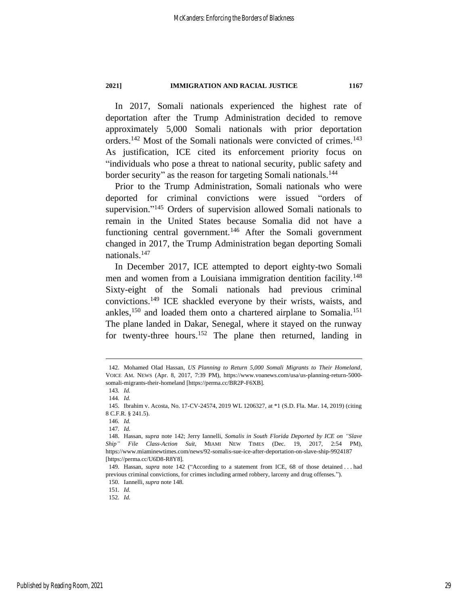<span id="page-29-0"></span>In 2017, Somali nationals experienced the highest rate of deportation after the Trump Administration decided to remove approximately 5,000 Somali nationals with prior deportation orders.<sup>142</sup> Most of the Somali nationals were convicted of crimes.<sup>143</sup> As justification, ICE cited its enforcement priority focus on "individuals who pose a threat to national security, public safety and border security" as the reason for targeting Somali nationals.<sup>144</sup>

Prior to the Trump Administration, Somali nationals who were deported for criminal convictions were issued "orders of supervision."<sup>145</sup> Orders of supervision allowed Somali nationals to remain in the United States because Somalia did not have a functioning central government.<sup>146</sup> After the Somali government changed in 2017, the Trump Administration began deporting Somali nationals.<sup>147</sup>

<span id="page-29-1"></span>In December 2017, ICE attempted to deport eighty-two Somali men and women from a Louisiana immigration dentition facility.<sup>148</sup> Sixty-eight of the Somali nationals had previous criminal convictions.<sup>149</sup> ICE shackled everyone by their wrists, waists, and ankles,<sup>150</sup> and loaded them onto a chartered airplane to Somalia.<sup>151</sup> The plane landed in Dakar, Senegal, where it stayed on the runway for twenty-three hours.<sup>152</sup> The plane then returned, landing in

151*. Id.* 152*. Id.*

<sup>142.</sup> Mohamed Olad Hassan, *US Planning to Return 5,000 Somali Migrants to Their Homeland*, VOICE AM. NEWS (Apr. 8, 2017, 7:39 PM), https://www.voanews.com/usa/us-planning-return-5000 somali-migrants-their-homeland [https://perma.cc/BR2P-F6XB].

<sup>143</sup>*. Id.*

<sup>144</sup>*. Id.*

<sup>145.</sup> Ibrahim v. Acosta, No. 17-CV-24574, 2019 WL 1206327, at \*1 (S.D. Fla. Mar. 14, 2019) (citing 8 C.F.R. § 241.5).

<sup>146</sup>*. Id.*

<sup>147</sup>*. Id.*

<sup>148.</sup> Hassan, *supra* note [142;](#page-29-0) Jerry Iannelli, *Somalis in South Florida Deported by ICE on "Slave Ship" File Class-Action Suit*, MIAMI NEW TIMES (Dec. 19, 2017, 2:54 PM), https://www.miaminewtimes.com/news/92-somalis-sue-ice-after-deportation-on-slave-ship-9924187 [https://perma.cc/U6D8-R8Y8].

<sup>149.</sup> Hassan, *supra* note [142](#page-29-0) ("According to a statement from ICE, 68 of those detained . . . had previous criminal convictions, for crimes including armed robbery, larceny and drug offenses.").

<sup>150.</sup> Iannelli, *supra* not[e 148.](#page-29-1)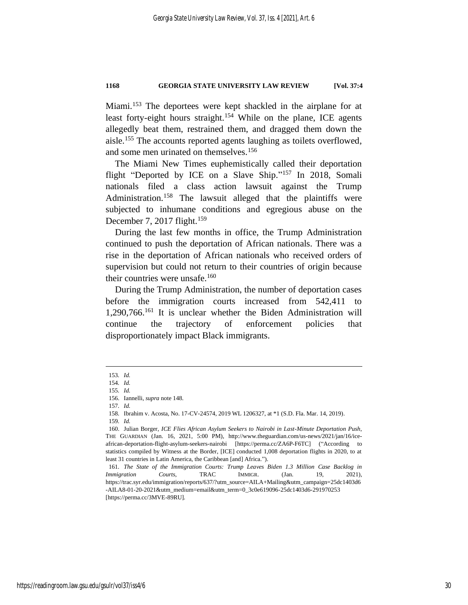Miami.<sup>153</sup> The deportees were kept shackled in the airplane for at least forty-eight hours straight.<sup>154</sup> While on the plane, ICE agents allegedly beat them, restrained them, and dragged them down the aisle.<sup>155</sup> The accounts reported agents laughing as toilets overflowed, and some men urinated on themselves.<sup>156</sup>

The Miami New Times euphemistically called their deportation flight "Deported by ICE on a Slave Ship."<sup>157</sup> In 2018, Somali nationals filed a class action lawsuit against the Trump Administration.<sup>158</sup> The lawsuit alleged that the plaintiffs were subjected to inhumane conditions and egregious abuse on the December 7, 2017 flight.<sup>159</sup>

During the last few months in office, the Trump Administration continued to push the deportation of African nationals. There was a rise in the deportation of African nationals who received orders of supervision but could not return to their countries of origin because their countries were unsafe.<sup>160</sup>

During the Trump Administration, the number of deportation cases before the immigration courts increased from 542,411 to 1,290,766.<sup>161</sup> It is unclear whether the Biden Administration will continue the trajectory of enforcement policies that disproportionately impact Black immigrants.

<sup>153</sup>*. Id.*

<sup>154</sup>*. Id.*

<sup>155</sup>*. Id.*

<sup>156.</sup> Iannelli, *supra* not[e 148.](#page-29-1)

<sup>157</sup>*. Id.*

<sup>158</sup>*.* Ibrahim v. Acosta, No. 17-CV-24574, 2019 WL 1206327, at \*1 (S.D. Fla. Mar. 14, 2019).

<sup>159</sup>*. Id.*

<sup>160.</sup> Julian Borger, *ICE Flies African Asylum Seekers to Nairobi in Last-Minute Deportation Push*, THE GUARDIAN (Jan. 16, 2021, 5:00 PM), http://www.theguardian.com/us-news/2021/jan/16/iceafrican-deportation-flight-asylum-seekers-nairobi [https://perma.cc/ZA6P-F6TC] ("According to statistics compiled by Witness at the Border, [ICE] conducted 1,008 deportation flights in 2020, to at least 31 countries in Latin America, the Caribbean [and] Africa.").

<sup>161</sup>*. The State of the Immigration Courts: Trump Leaves Biden 1.3 Million Case Backlog in Immigration Courts*, TRAC IMMIGR. (Jan. 19, 2021), https://trac.syr.edu/immigration/reports/637/?utm\_source=AILA+Mailing&utm\_campaign=25dc1403d6 -AILA8-01-20-2021&utm\_medium=email&utm\_term=0\_3c0e619096-25dc1403d6-291970253 [https://perma.cc/3MVE-89RU].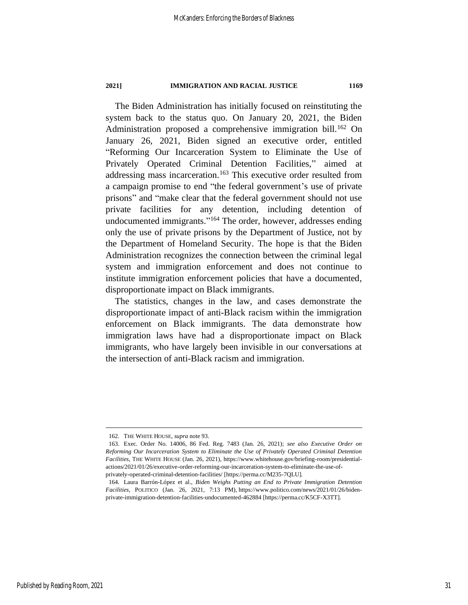The Biden Administration has initially focused on reinstituting the system back to the status quo. On January 20, 2021, the Biden Administration proposed a comprehensive immigration bill.<sup>162</sup> On January 26, 2021, Biden signed an executive order, entitled "Reforming Our Incarceration System to Eliminate the Use of Privately Operated Criminal Detention Facilities," aimed at addressing mass incarceration.<sup>163</sup> This executive order resulted from a campaign promise to end "the federal government's use of private prisons" and "make clear that the federal government should not use private facilities for any detention, including detention of undocumented immigrants."<sup>164</sup> The order, however, addresses ending only the use of private prisons by the Department of Justice, not by the Department of Homeland Security. The hope is that the Biden Administration recognizes the connection between the criminal legal system and immigration enforcement and does not continue to institute immigration enforcement policies that have a documented, disproportionate impact on Black immigrants.

The statistics, changes in the law, and cases demonstrate the disproportionate impact of anti-Black racism within the immigration enforcement on Black immigrants. The data demonstrate how immigration laws have had a disproportionate impact on Black immigrants, who have largely been invisible in our conversations at the intersection of anti-Black racism and immigration.

<sup>162.</sup> THE WHITE HOUSE, *supra* note [93.](#page-21-1)

<sup>163.</sup> Exec. Order No. 14006, 86 Fed. Reg. 7483 (Jan. 26, 2021); *see also Executive Order on Reforming Our Incarceration System to Eliminate the Use of Privately Operated Criminal Detention Facilities*, THE WHITE HOUSE (Jan. 26, 2021), https://www.whitehouse.gov/briefing-room/presidentialactions/2021/01/26/executive-order-reforming-our-incarceration-system-to-eliminate-the-use-ofprivately-operated-criminal-detention-facilities/ [https://perma.cc/M235-7QLU].

<sup>164.</sup> Laura Barrón-López et al., *Biden Weighs Putting an End to Private Immigration Detention Facilities*, POLITICO (Jan. 26, 2021, 7:13 PM), https://www.politico.com/news/2021/01/26/bidenprivate-immigration-detention-facilities-undocumented-462884 [https://perma.cc/K5CF-X3TT].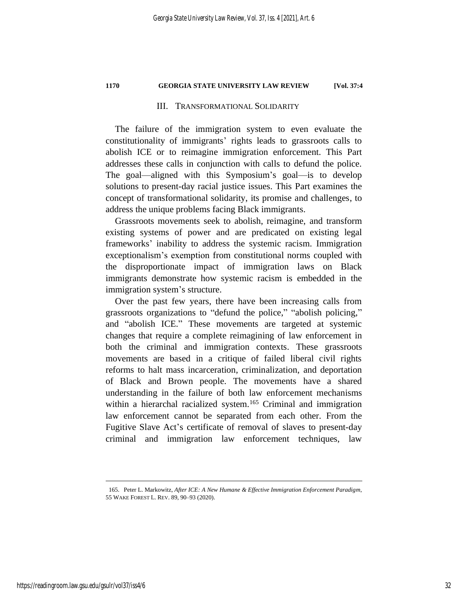#### III. TRANSFORMATIONAL SOLIDARITY

<span id="page-32-0"></span>The failure of the immigration system to even evaluate the constitutionality of immigrants' rights leads to grassroots calls to abolish ICE or to reimagine immigration enforcement. This Part addresses these calls in conjunction with calls to defund the police. The goal—aligned with this Symposium's goal—is to develop solutions to present-day racial justice issues. This Part examines the concept of transformational solidarity, its promise and challenges, to address the unique problems facing Black immigrants.

Grassroots movements seek to abolish, reimagine, and transform existing systems of power and are predicated on existing legal frameworks' inability to address the systemic racism. Immigration exceptionalism's exemption from constitutional norms coupled with the disproportionate impact of immigration laws on Black immigrants demonstrate how systemic racism is embedded in the immigration system's structure.

Over the past few years, there have been increasing calls from grassroots organizations to "defund the police," "abolish policing," and "abolish ICE." These movements are targeted at systemic changes that require a complete reimagining of law enforcement in both the criminal and immigration contexts. These grassroots movements are based in a critique of failed liberal civil rights reforms to halt mass incarceration, criminalization, and deportation of Black and Brown people. The movements have a shared understanding in the failure of both law enforcement mechanisms within a hierarchal racialized system.<sup>165</sup> Criminal and immigration law enforcement cannot be separated from each other. From the Fugitive Slave Act's certificate of removal of slaves to present-day criminal and immigration law enforcement techniques, law

<span id="page-32-1"></span><sup>165.</sup> Peter L. Markowitz, *After ICE: A New Humane & Effective Immigration Enforcement Paradigm*, 55 WAKE FOREST L. REV. 89, 90–93 (2020).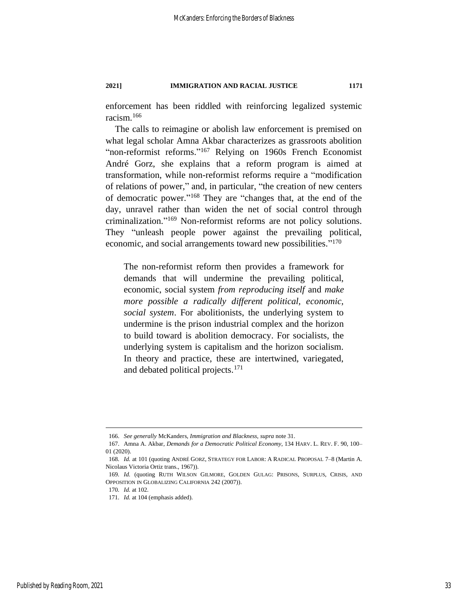enforcement has been riddled with reinforcing legalized systemic racism.<sup>166</sup>

<span id="page-33-1"></span>The calls to reimagine or abolish law enforcement is premised on what legal scholar Amna Akbar characterizes as grassroots abolition "non-reformist reforms."<sup>167</sup> Relying on 1960s French Economist André Gorz, she explains that a reform program is aimed at transformation, while non-reformist reforms require a "modification of relations of power," and, in particular, "the creation of new centers of democratic power." <sup>168</sup> They are "changes that, at the end of the day, unravel rather than widen the net of social control through criminalization." <sup>169</sup> Non-reformist reforms are not policy solutions. They "unleash people power against the prevailing political, economic, and social arrangements toward new possibilities."<sup>170</sup>

<span id="page-33-0"></span>The non-reformist reform then provides a framework for demands that will undermine the prevailing political, economic, social system *from reproducing itself* and *make more possible a radically different political, economic, social system*. For abolitionists, the underlying system to undermine is the prison industrial complex and the horizon to build toward is abolition democracy. For socialists, the underlying system is capitalism and the horizon socialism. In theory and practice, these are intertwined, variegated, and debated political projects.<sup>171</sup>

<sup>166.</sup> *See generally* McKanders, *Immigration and Blackness*, *supra* not[e 31.](#page-8-0)

<sup>167.</sup> Amna A. Akbar, *Demands for a Democratic Political Economy*, 134 HARV. L. REV. F. 90, 100– 01 (2020).

<sup>168</sup>*. Id.* at 101 (quoting ANDRÉ GORZ, STRATEGY FOR LABOR: A RADICAL PROPOSAL 7–8 (Martin A. Nicolaus Victoria Ortiz trans., 1967)).

<sup>169</sup>*. Id.* (quoting RUTH WILSON GILMORE, GOLDEN GULAG: PRISONS, SURPLUS, CRISIS, AND OPPOSITION IN GLOBALIZING CALIFORNIA 242 (2007)).

<sup>170</sup>*. Id.* at 102.

<sup>171</sup>*. Id.* at 104 (emphasis added).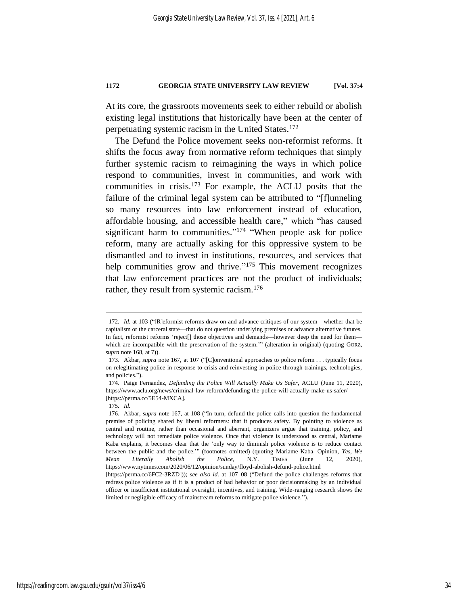At its core, the grassroots movements seek to either rebuild or abolish existing legal institutions that historically have been at the center of perpetuating systemic racism in the United States.<sup>172</sup>

The Defund the Police movement seeks non-reformist reforms. It shifts the focus away from normative reform techniques that simply further systemic racism to reimagining the ways in which police respond to communities, invest in communities, and work with communities in crisis. <sup>173</sup> For example, the ACLU posits that the failure of the criminal legal system can be attributed to "[f]unneling so many resources into law enforcement instead of education, affordable housing, and accessible health care," which "has caused significant harm to communities."<sup>174</sup> "When people ask for police reform, many are actually asking for this oppressive system to be dismantled and to invest in institutions, resources, and services that help communities grow and thrive."<sup>175</sup> This movement recognizes that law enforcement practices are not the product of individuals; rather, they result from systemic racism.<sup>176</sup>

<sup>172</sup>*. Id.* at 103 ("[R]eformist reforms draw on and advance critiques of our system—whether that be capitalism or the carceral state—that do not question underlying premises or advance alternative futures. In fact, reformist reforms 'reject[] those objectives and demands—however deep the need for them which are incompatible with the preservation of the system.'" (alteration in original) (quoting GORZ, *supra* not[e 168,](#page-33-0) at 7)).

<sup>173.</sup> Akbar, *supra* note [167,](#page-33-1) at 107 ("[C]onventional approaches to police reform . . . typically focus on relegitimating police in response to crisis and reinvesting in police through trainings, technologies, and policies.").

<sup>174.</sup> Paige Fernandez, *Defunding the Police Will Actually Make Us Safer*, ACLU (June 11, 2020), https://www.aclu.org/news/criminal-law-reform/defunding-the-police-will-actually-make-us-safer/ [https://perma.cc/5E54-MXCA].

<sup>175</sup>*. Id.*

<sup>176.</sup> Akbar, *supra* note [167,](#page-33-1) at 108 ("In turn, defund the police calls into question the fundamental premise of policing shared by liberal reformers: that it produces safety. By pointing to violence as central and routine, rather than occasional and aberrant, organizers argue that training, policy, and technology will not remediate police violence. Once that violence is understood as central, Mariame Kaba explains, it becomes clear that the 'only way to diminish police violence is to reduce contact between the public and the police.'" (footnotes omitted) (quoting Mariame Kaba, Opinion, *Yes, We Mean Literally Abolish the Police*, N.Y. TIMES (June 12, 2020), https://www.nytimes.com/2020/06/12/opinion/sunday/floyd-abolish-defund-police.html

<sup>[</sup>https://perma.cc/6FC2-3RZD])); *see also id.* at 107–08 ("Defund the police challenges reforms that redress police violence as if it is a product of bad behavior or poor decisionmaking by an individual officer or insufficient institutional oversight, incentives, and training. Wide-ranging research shows the limited or negligible efficacy of mainstream reforms to mitigate police violence.").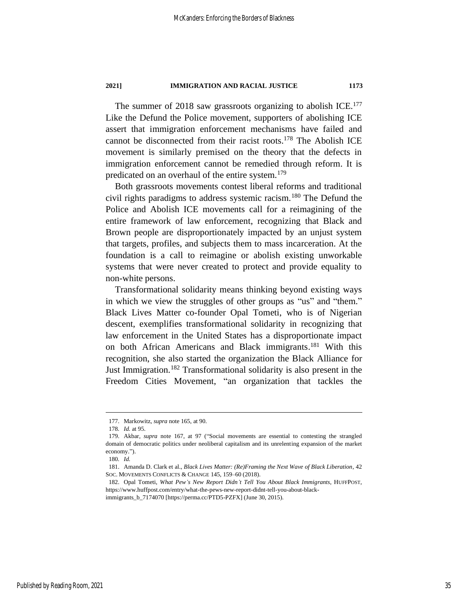The summer of 2018 saw grassroots organizing to abolish ICE.<sup>177</sup> Like the Defund the Police movement, supporters of abolishing ICE assert that immigration enforcement mechanisms have failed and cannot be disconnected from their racist roots. <sup>178</sup> The Abolish ICE movement is similarly premised on the theory that the defects in immigration enforcement cannot be remedied through reform. It is predicated on an overhaul of the entire system.<sup>179</sup>

Both grassroots movements contest liberal reforms and traditional civil rights paradigms to address systemic racism.<sup>180</sup> The Defund the Police and Abolish ICE movements call for a reimagining of the entire framework of law enforcement, recognizing that Black and Brown people are disproportionately impacted by an unjust system that targets, profiles, and subjects them to mass incarceration. At the foundation is a call to reimagine or abolish existing unworkable systems that were never created to protect and provide equality to non-white persons.

Transformational solidarity means thinking beyond existing ways in which we view the struggles of other groups as "us" and "them." Black Lives Matter co-founder Opal Tometi, who is of Nigerian descent, exemplifies transformational solidarity in recognizing that law enforcement in the United States has a disproportionate impact on both African Americans and Black immigrants. <sup>181</sup> With this recognition, she also started the organization the Black Alliance for Just Immigration.<sup>182</sup> Transformational solidarity is also present in the Freedom Cities Movement, "an organization that tackles the

<sup>177.</sup> Markowitz, *supra* note [165,](#page-32-1) at 90.

<sup>178</sup>*. Id.* at 95.

<sup>179.</sup> Akbar, *supra* note [167,](#page-33-1) at 97 ("Social movements are essential to contesting the strangled domain of democratic politics under neoliberal capitalism and its unrelenting expansion of the market economy.").

<sup>180</sup>*. Id.*

<sup>181.</sup> Amanda D. Clark et al., *Black Lives Matter: (Re)Framing the Next Wave of Black Liberation*, 42 SOC. MOVEMENTS CONFLICTS & CHANGE 145, 159–60 (2018).

<sup>182.</sup> Opal Tometi, *What Pew's New Report Didn't Tell You About Black Immigrants*, HUFFPOST, https://www.huffpost.com/entry/what-the-pews-new-report-didnt-tell-you-about-blackimmigrants\_b\_7174070 [https://perma.cc/PTD5-PZFX] (June 30, 2015).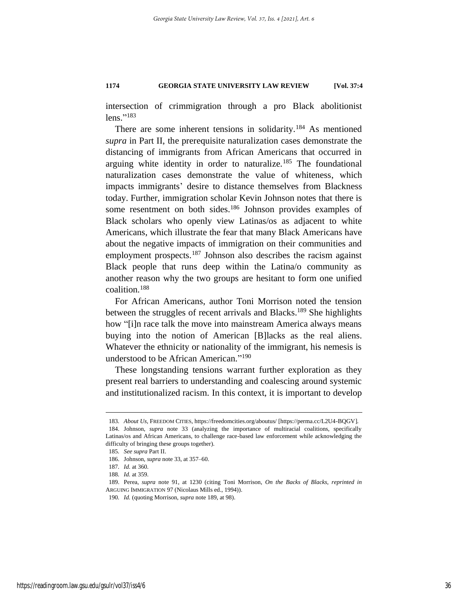intersection of crimmigration through a pro Black abolitionist lens." 183

There are some inherent tensions in solidarity.<sup>184</sup> As mentioned *supra* in Part II, the prerequisite naturalization cases demonstrate the distancing of immigrants from African Americans that occurred in arguing white identity in order to naturalize.<sup>185</sup> The foundational naturalization cases demonstrate the value of whiteness, which impacts immigrants' desire to distance themselves from Blackness today. Further, immigration scholar Kevin Johnson notes that there is some resentment on both sides.<sup>186</sup> Johnson provides examples of Black scholars who openly view Latinas/os as adjacent to white Americans, which illustrate the fear that many Black Americans have about the negative impacts of immigration on their communities and employment prospects.<sup>187</sup> Johnson also describes the racism against Black people that runs deep within the Latina/o community as another reason why the two groups are hesitant to form one unified coalition.<sup>188</sup>

<span id="page-36-0"></span>For African Americans, author Toni Morrison noted the tension between the struggles of recent arrivals and Blacks.<sup>189</sup> She highlights how "[i]n race talk the move into mainstream America always means buying into the notion of American [B]lacks as the real aliens. Whatever the ethnicity or nationality of the immigrant, his nemesis is understood to be African American." 190

These longstanding tensions warrant further exploration as they present real barriers to understanding and coalescing around systemic and institutionalized racism. In this context, it is important to develop

<sup>183</sup>*. About Us*, FREEDOM CITIES, https://freedomcities.org/aboutus/ [https://perma.cc/L2U4-BQGV].

<sup>184.</sup> Johnson, *supra* note [33](#page-9-0) (analyzing the importance of multiracial coalitions, specifically Latinas/os and African Americans, to challenge race-based law enforcement while acknowledging the difficulty of bringing these groups together).

<sup>185</sup>*. See supra* Part [II.](#page-21-0)

<sup>186.</sup> Johnson, *supra* not[e 33,](#page-9-0) at 357–60.

<sup>187</sup>*. Id.* at 360.

<sup>188</sup>*. Id.* at 359.

<sup>189.</sup> Perea, *supra* note [91,](#page-21-2) at 1230 (citing Toni Morrison, *On the Backs of Blacks*, *reprinted in* ARGUING IMMIGRATION 97 (Nicolaus Mills ed., 1994)).

<sup>190</sup>*. Id.* (quoting Morrison, *supra* not[e 189,](#page-36-0) at 98).